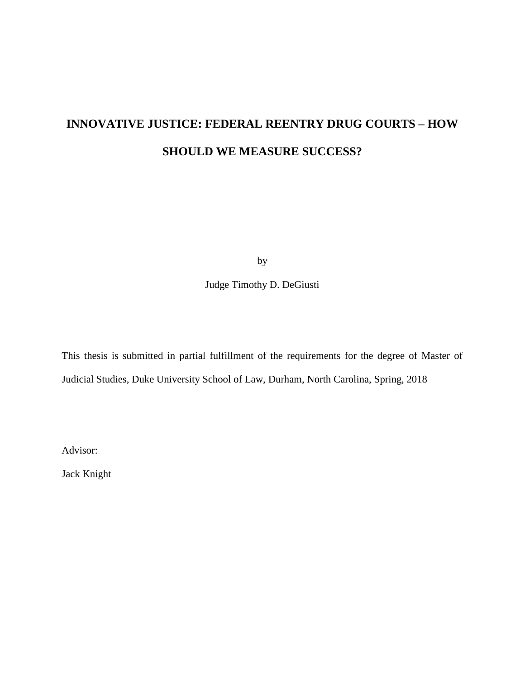# **INNOVATIVE JUSTICE: FEDERAL REENTRY DRUG COURTS – HOW SHOULD WE MEASURE SUCCESS?**

by

Judge Timothy D. DeGiusti

This thesis is submitted in partial fulfillment of the requirements for the degree of Master of Judicial Studies, Duke University School of Law, Durham, North Carolina, Spring, 2018

Advisor:

Jack Knight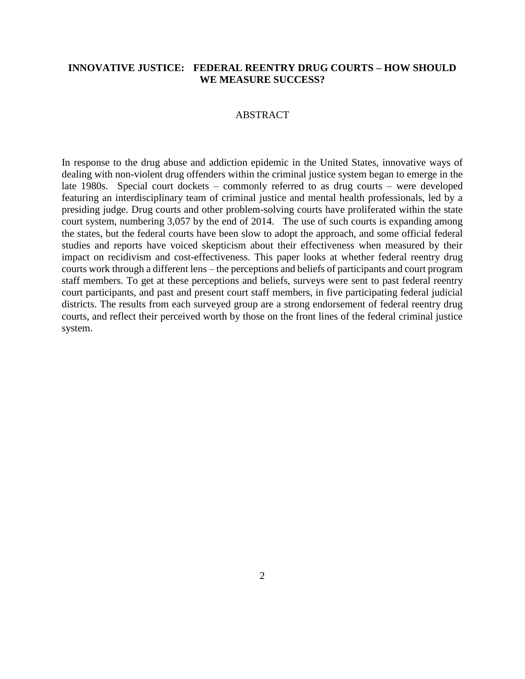#### **INNOVATIVE JUSTICE: FEDERAL REENTRY DRUG COURTS – HOW SHOULD WE MEASURE SUCCESS?**

#### ABSTRACT

In response to the drug abuse and addiction epidemic in the United States, innovative ways of dealing with non-violent drug offenders within the criminal justice system began to emerge in the late 1980s. Special court dockets – commonly referred to as drug courts – were developed featuring an interdisciplinary team of criminal justice and mental health professionals, led by a presiding judge. Drug courts and other problem-solving courts have proliferated within the state court system, numbering 3,057 by the end of 2014. The use of such courts is expanding among the states, but the federal courts have been slow to adopt the approach, and some official federal studies and reports have voiced skepticism about their effectiveness when measured by their impact on recidivism and cost-effectiveness. This paper looks at whether federal reentry drug courts work through a different lens – the perceptions and beliefs of participants and court program staff members. To get at these perceptions and beliefs, surveys were sent to past federal reentry court participants, and past and present court staff members, in five participating federal judicial districts. The results from each surveyed group are a strong endorsement of federal reentry drug courts, and reflect their perceived worth by those on the front lines of the federal criminal justice system.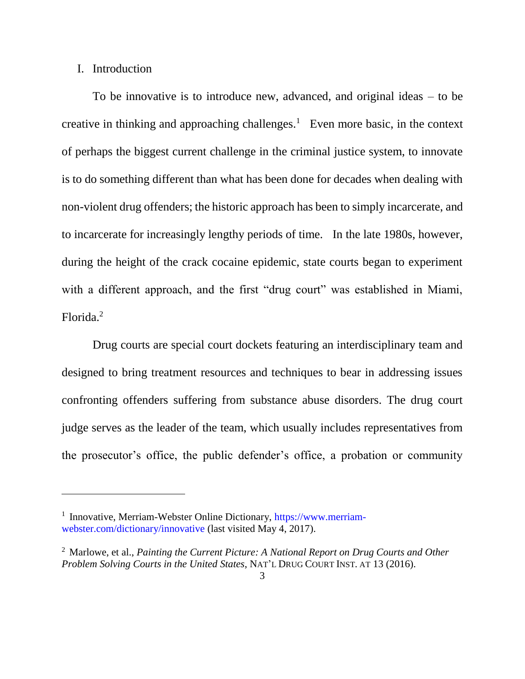#### I. Introduction

 $\overline{a}$ 

To be innovative is to introduce new, advanced, and original ideas – to be creative in thinking and approaching challenges.<sup>1</sup> Even more basic, in the context of perhaps the biggest current challenge in the criminal justice system, to innovate is to do something different than what has been done for decades when dealing with non-violent drug offenders; the historic approach has been to simply incarcerate, and to incarcerate for increasingly lengthy periods of time. In the late 1980s, however, during the height of the crack cocaine epidemic, state courts began to experiment with a different approach, and the first "drug court" was established in Miami, Florida.<sup>2</sup>

Drug courts are special court dockets featuring an interdisciplinary team and designed to bring treatment resources and techniques to bear in addressing issues confronting offenders suffering from substance abuse disorders. The drug court judge serves as the leader of the team, which usually includes representatives from the prosecutor's office, the public defender's office, a probation or community

<sup>&</sup>lt;sup>1</sup> Innovative, Merriam-Webster Online Dictionary, https://www.merriamwebster.com/dictionary/innovative (last visited May 4, 2017).

<sup>2</sup> Marlowe, et al., *Painting the Current Picture: A National Report on Drug Courts and Other Problem Solving Courts in the United States*, NAT'L DRUG COURT INST. AT 13 (2016).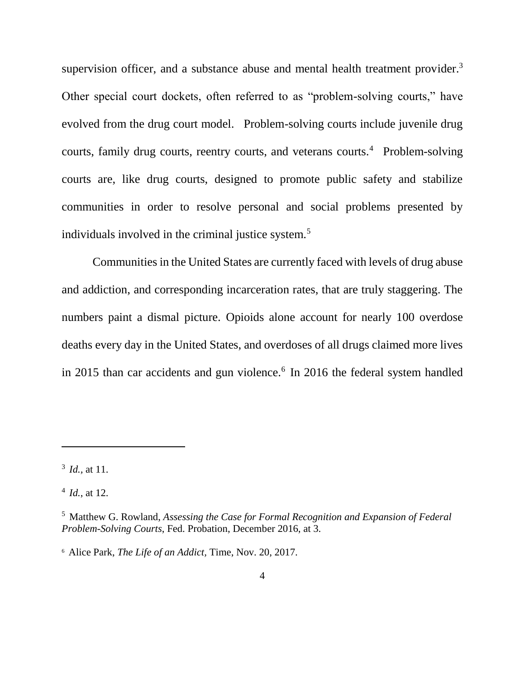supervision officer, and a substance abuse and mental health treatment provider. $3$ Other special court dockets, often referred to as "problem-solving courts," have evolved from the drug court model. Problem-solving courts include juvenile drug courts, family drug courts, reentry courts, and veterans courts.<sup>4</sup> Problem-solving courts are, like drug courts, designed to promote public safety and stabilize communities in order to resolve personal and social problems presented by individuals involved in the criminal justice system.<sup>5</sup>

Communities in the United States are currently faced with levels of drug abuse and addiction, and corresponding incarceration rates, that are truly staggering. The numbers paint a dismal picture. Opioids alone account for nearly 100 overdose deaths every day in the United States, and overdoses of all drugs claimed more lives in 2015 than car accidents and gun violence.<sup>6</sup> In 2016 the federal system handled

<sup>3</sup> *Id.,* at 11.

<sup>4</sup> *Id.*, at 12.

<sup>5</sup> Matthew G. Rowland, *Assessing the Case for Formal Recognition and Expansion of Federal Problem-Solving Courts*, Fed. Probation, December 2016, at 3.

<sup>6</sup> Alice Park, *The Life of an Addict,* Time, Nov. 20, 2017.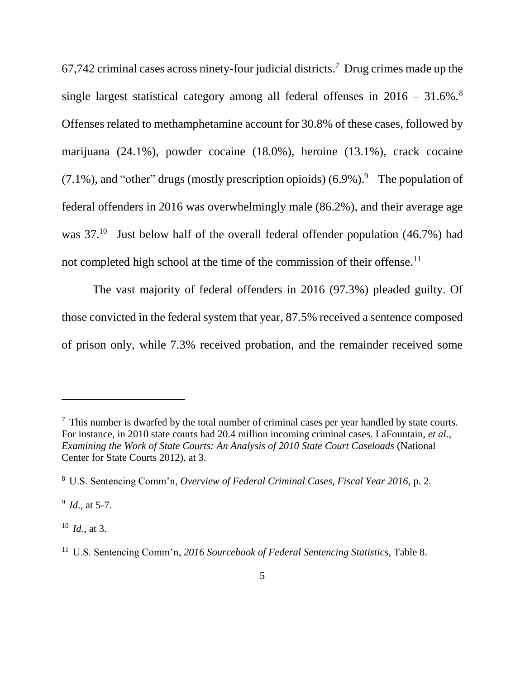67,742 criminal cases across ninety-four judicial districts.<sup>7</sup> Drug crimes made up the single largest statistical category among all federal offenses in  $2016 - 31.6\%$ . Offenses related to methamphetamine account for 30.8% of these cases, followed by marijuana (24.1%), powder cocaine (18.0%), heroine (13.1%), crack cocaine  $(7.1\%)$ , and "other" drugs (mostly prescription opioids)  $(6.9\%)$ . The population of federal offenders in 2016 was overwhelmingly male (86.2%), and their average age was  $37<sup>10</sup>$  Just below half of the overall federal offender population (46.7%) had not completed high school at the time of the commission of their offense.<sup>11</sup>

The vast majority of federal offenders in 2016 (97.3%) pleaded guilty. Of those convicted in the federal system that year, 87.5% received a sentence composed of prison only, while 7.3% received probation, and the remainder received some

9 *Id*., at 5-7.

 $\overline{a}$ 

<sup>10</sup> *Id*., at 3.

 $<sup>7</sup>$  This number is dwarfed by the total number of criminal cases per year handled by state courts.</sup> For instance, in 2010 state courts had 20.4 million incoming criminal cases. LaFountain, *et al*., *Examining the Work of State Courts: An Analysis of 2010 State Court Caseloads* (National Center for State Courts 2012), at 3.

<sup>8</sup> U.S. Sentencing Comm'n, *Overview of Federal Criminal Cases, Fiscal Year 2016*, p. 2.

<sup>11</sup> U.S. Sentencing Comm'n, *2016 Sourcebook of Federal Sentencing Statistics*, Table 8.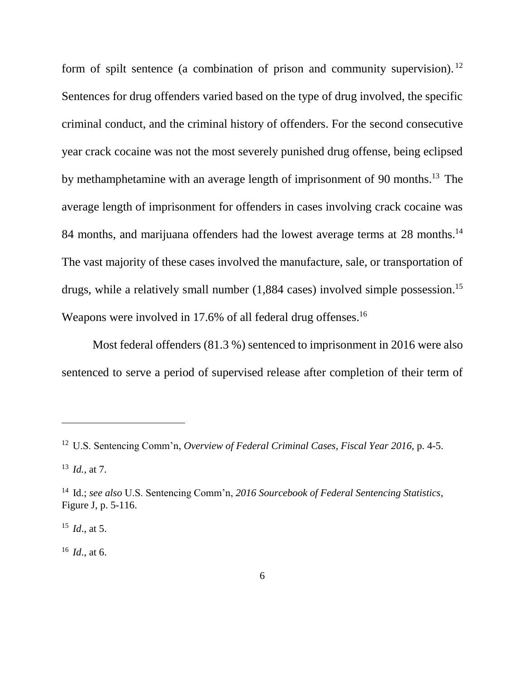form of spilt sentence (a combination of prison and community supervision).<sup>12</sup> Sentences for drug offenders varied based on the type of drug involved, the specific criminal conduct, and the criminal history of offenders. For the second consecutive year crack cocaine was not the most severely punished drug offense, being eclipsed by methamphetamine with an average length of imprisonment of 90 months.<sup>13</sup> The average length of imprisonment for offenders in cases involving crack cocaine was 84 months, and marijuana offenders had the lowest average terms at 28 months.<sup>14</sup> The vast majority of these cases involved the manufacture, sale, or transportation of drugs, while a relatively small number (1,884 cases) involved simple possession.<sup>15</sup> Weapons were involved in 17.6% of all federal drug offenses.<sup>16</sup>

Most federal offenders (81.3 %) sentenced to imprisonment in 2016 were also sentenced to serve a period of supervised release after completion of their term of

 $\overline{a}$ 

 $^{16}$  *Id.*, at 6.

<sup>12</sup> U.S. Sentencing Comm'n, *Overview of Federal Criminal Cases, Fiscal Year 2016*, p. 4-5.

<sup>13</sup> *Id.,* at 7.

<sup>14</sup> Id.; *see also* U.S. Sentencing Comm'n, *2016 Sourcebook of Federal Sentencing Statistics*, Figure J, p. 5-116.

 $^{15}$  *Id.*, at 5.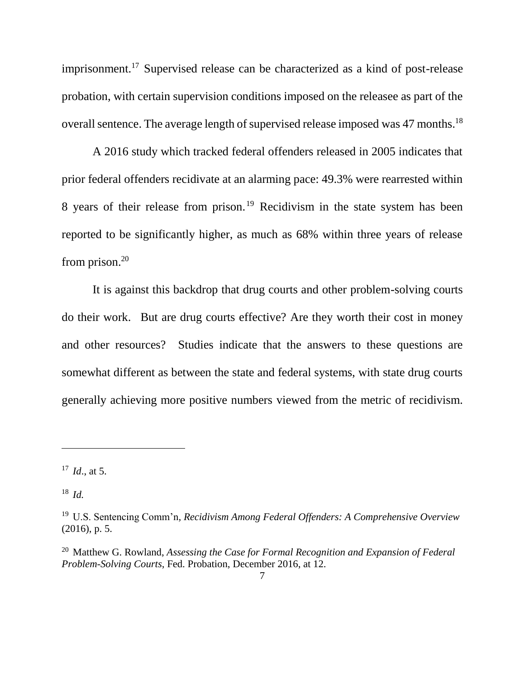imprisonment.<sup>17</sup> Supervised release can be characterized as a kind of post-release probation, with certain supervision conditions imposed on the releasee as part of the overall sentence. The average length of supervised release imposed was 47 months.<sup>18</sup>

A 2016 study which tracked federal offenders released in 2005 indicates that prior federal offenders recidivate at an alarming pace: 49.3% were rearrested within 8 years of their release from prison.<sup>19</sup> Recidivism in the state system has been reported to be significantly higher, as much as 68% within three years of release from prison.<sup>20</sup>

It is against this backdrop that drug courts and other problem-solving courts do their work. But are drug courts effective? Are they worth their cost in money and other resources? Studies indicate that the answers to these questions are somewhat different as between the state and federal systems, with state drug courts generally achieving more positive numbers viewed from the metric of recidivism.

<sup>17</sup> *Id*., at 5.

<sup>18</sup> *Id.*

<sup>19</sup> U.S. Sentencing Comm'n*, Recidivism Among Federal Offenders: A Comprehensive Overview* (2016), p. 5.

<sup>20</sup> Matthew G. Rowland, *Assessing the Case for Formal Recognition and Expansion of Federal Problem-Solving Courts*, Fed. Probation, December 2016, at 12.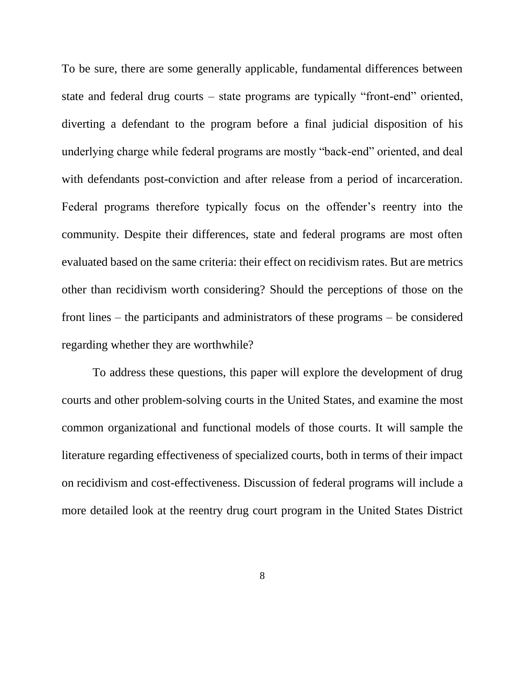To be sure, there are some generally applicable, fundamental differences between state and federal drug courts – state programs are typically "front-end" oriented, diverting a defendant to the program before a final judicial disposition of his underlying charge while federal programs are mostly "back-end" oriented, and deal with defendants post-conviction and after release from a period of incarceration. Federal programs therefore typically focus on the offender's reentry into the community. Despite their differences, state and federal programs are most often evaluated based on the same criteria: their effect on recidivism rates. But are metrics other than recidivism worth considering? Should the perceptions of those on the front lines – the participants and administrators of these programs – be considered regarding whether they are worthwhile?

To address these questions, this paper will explore the development of drug courts and other problem-solving courts in the United States, and examine the most common organizational and functional models of those courts. It will sample the literature regarding effectiveness of specialized courts, both in terms of their impact on recidivism and cost-effectiveness. Discussion of federal programs will include a more detailed look at the reentry drug court program in the United States District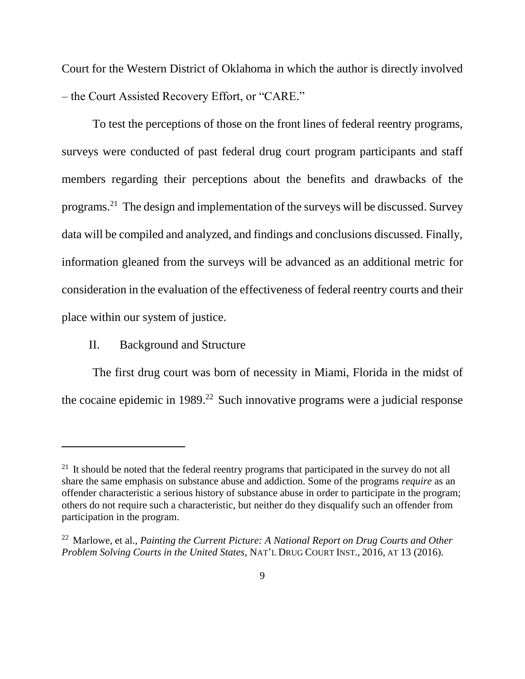Court for the Western District of Oklahoma in which the author is directly involved – the Court Assisted Recovery Effort, or "CARE."

To test the perceptions of those on the front lines of federal reentry programs, surveys were conducted of past federal drug court program participants and staff members regarding their perceptions about the benefits and drawbacks of the programs. <sup>21</sup> The design and implementation of the surveys will be discussed. Survey data will be compiled and analyzed, and findings and conclusions discussed. Finally, information gleaned from the surveys will be advanced as an additional metric for consideration in the evaluation of the effectiveness of federal reentry courts and their place within our system of justice.

II. Background and Structure

 $\overline{a}$ 

The first drug court was born of necessity in Miami, Florida in the midst of the cocaine epidemic in  $1989<sup>22</sup>$  Such innovative programs were a judicial response

 $21$  It should be noted that the federal reentry programs that participated in the survey do not all share the same emphasis on substance abuse and addiction. Some of the programs *require* as an offender characteristic a serious history of substance abuse in order to participate in the program; others do not require such a characteristic, but neither do they disqualify such an offender from participation in the program.

<sup>22</sup> Marlowe, et al., *Painting the Current Picture: A National Report on Drug Courts and Other Problem Solving Courts in the United States,* NAT'L DRUG COURT INST., 2016, AT 13 (2016).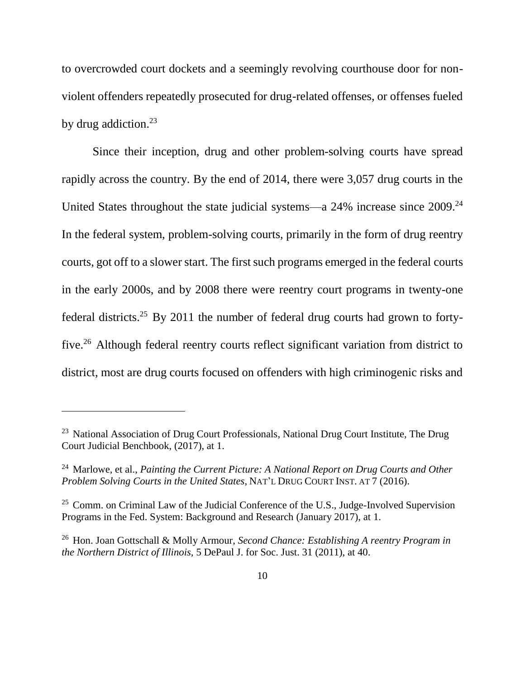to overcrowded court dockets and a seemingly revolving courthouse door for nonviolent offenders repeatedly prosecuted for drug-related offenses, or offenses fueled by drug addiction. $^{23}$ 

Since their inception, drug and other problem-solving courts have spread rapidly across the country. By the end of 2014, there were 3,057 drug courts in the United States throughout the state judicial systems—a 24% increase since 2009.<sup>24</sup> In the federal system, problem-solving courts, primarily in the form of drug reentry courts, got off to a slower start. The first such programs emerged in the federal courts in the early 2000s, and by 2008 there were reentry court programs in twenty-one federal districts.<sup>25</sup> By 2011 the number of federal drug courts had grown to fortyfive.<sup>26</sup> Although federal reentry courts reflect significant variation from district to district, most are drug courts focused on offenders with high criminogenic risks and

 $23$  National Association of Drug Court Professionals, National Drug Court Institute, The Drug Court Judicial Benchbook, (2017), at 1.

<sup>24</sup> Marlowe, et al., *Painting the Current Picture: A National Report on Drug Courts and Other Problem Solving Courts in the United States*, NAT'L DRUG COURT INST. AT 7 (2016).

 $25$  Comm. on Criminal Law of the Judicial Conference of the U.S., Judge-Involved Supervision Programs in the Fed. System: Background and Research (January 2017), at 1.

<sup>26</sup> Hon. Joan Gottschall & Molly Armour, *Second Chance: Establishing A reentry Program in the Northern District of Illinois,* 5 DePaul J. for Soc. Just. 31 (2011), at 40.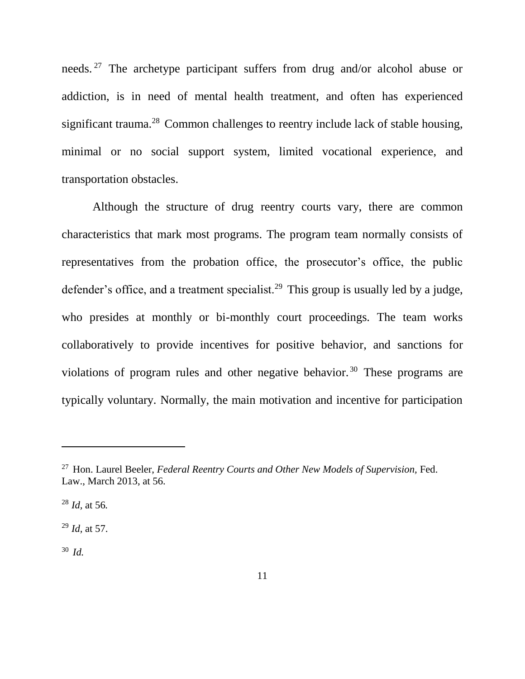needs. <sup>27</sup> The archetype participant suffers from drug and/or alcohol abuse or addiction, is in need of mental health treatment, and often has experienced significant trauma.<sup>28</sup> Common challenges to reentry include lack of stable housing, minimal or no social support system, limited vocational experience, and transportation obstacles.

Although the structure of drug reentry courts vary, there are common characteristics that mark most programs. The program team normally consists of representatives from the probation office, the prosecutor's office, the public defender's office, and a treatment specialist.<sup>29</sup> This group is usually led by a judge, who presides at monthly or bi-monthly court proceedings. The team works collaboratively to provide incentives for positive behavior, and sanctions for violations of program rules and other negative behavior. <sup>30</sup> These programs are typically voluntary. Normally, the main motivation and incentive for participation

<sup>28</sup> *Id,* at 56*.*

<sup>29</sup> *Id,* at 57.

<sup>30</sup> *Id.*

<sup>27</sup> Hon. Laurel Beeler, *Federal Reentry Courts and Other New Models of Supervision,* Fed. Law., March 2013, at 56.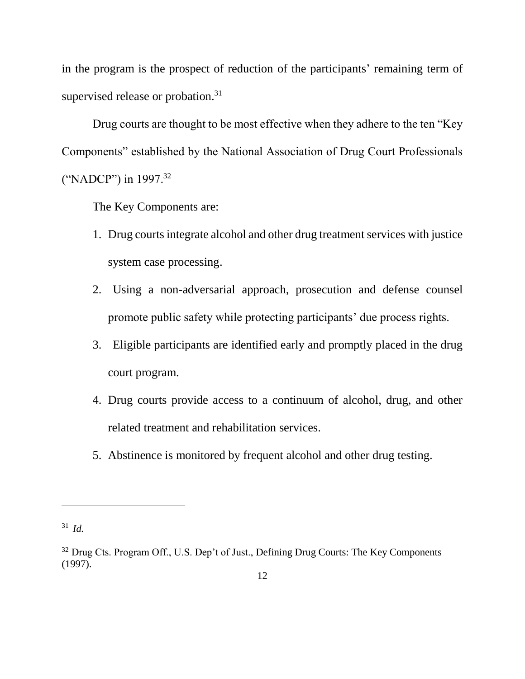in the program is the prospect of reduction of the participants' remaining term of supervised release or probation.<sup>31</sup>

Drug courts are thought to be most effective when they adhere to the ten "Key Components" established by the National Association of Drug Court Professionals ("NADCP") in 1997.<sup>32</sup>

The Key Components are:

- 1. Drug courts integrate alcohol and other drug treatment services with justice system case processing.
- 2. Using a non-adversarial approach, prosecution and defense counsel promote public safety while protecting participants' due process rights.
- 3. Eligible participants are identified early and promptly placed in the drug court program.
- 4. Drug courts provide access to a continuum of alcohol, drug, and other related treatment and rehabilitation services.
- 5. Abstinence is monitored by frequent alcohol and other drug testing.

<sup>31</sup> *Id.*

<sup>&</sup>lt;sup>32</sup> Drug Cts. Program Off., U.S. Dep't of Just., Defining Drug Courts: The Key Components (1997).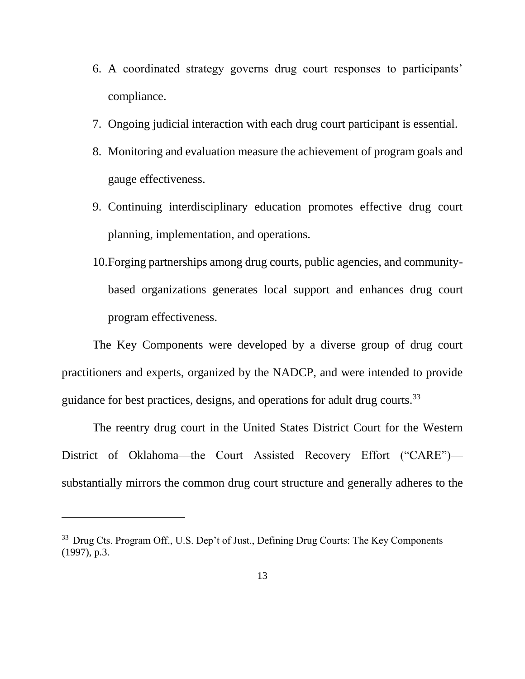- 6. A coordinated strategy governs drug court responses to participants' compliance.
- 7. Ongoing judicial interaction with each drug court participant is essential.
- 8. Monitoring and evaluation measure the achievement of program goals and gauge effectiveness.
- 9. Continuing interdisciplinary education promotes effective drug court planning, implementation, and operations.
- 10.Forging partnerships among drug courts, public agencies, and communitybased organizations generates local support and enhances drug court program effectiveness.

The Key Components were developed by a diverse group of drug court practitioners and experts, organized by the NADCP, and were intended to provide guidance for best practices, designs, and operations for adult drug courts.<sup>33</sup>

The reentry drug court in the United States District Court for the Western District of Oklahoma—the Court Assisted Recovery Effort ("CARE") substantially mirrors the common drug court structure and generally adheres to the

<sup>&</sup>lt;sup>33</sup> Drug Cts. Program Off., U.S. Dep't of Just., Defining Drug Courts: The Key Components (1997), p.3.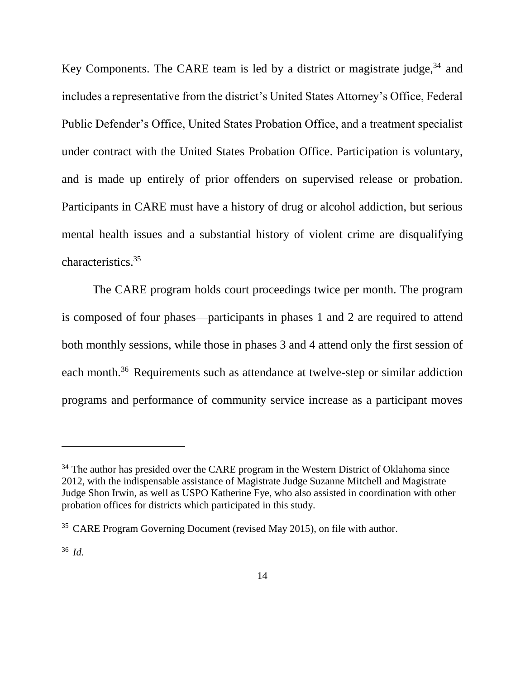Key Components. The CARE team is led by a district or magistrate judge,<sup>34</sup> and includes a representative from the district's United States Attorney's Office, Federal Public Defender's Office, United States Probation Office, and a treatment specialist under contract with the United States Probation Office. Participation is voluntary, and is made up entirely of prior offenders on supervised release or probation. Participants in CARE must have a history of drug or alcohol addiction, but serious mental health issues and a substantial history of violent crime are disqualifying characteristics.<sup>35</sup>

The CARE program holds court proceedings twice per month. The program is composed of four phases—participants in phases 1 and 2 are required to attend both monthly sessions, while those in phases 3 and 4 attend only the first session of each month.<sup>36</sup> Requirements such as attendance at twelve-step or similar addiction programs and performance of community service increase as a participant moves

<sup>&</sup>lt;sup>34</sup> The author has presided over the CARE program in the Western District of Oklahoma since 2012, with the indispensable assistance of Magistrate Judge Suzanne Mitchell and Magistrate Judge Shon Irwin, as well as USPO Katherine Fye, who also assisted in coordination with other probation offices for districts which participated in this study.

<sup>&</sup>lt;sup>35</sup> CARE Program Governing Document (revised May 2015), on file with author.

<sup>36</sup> *Id.*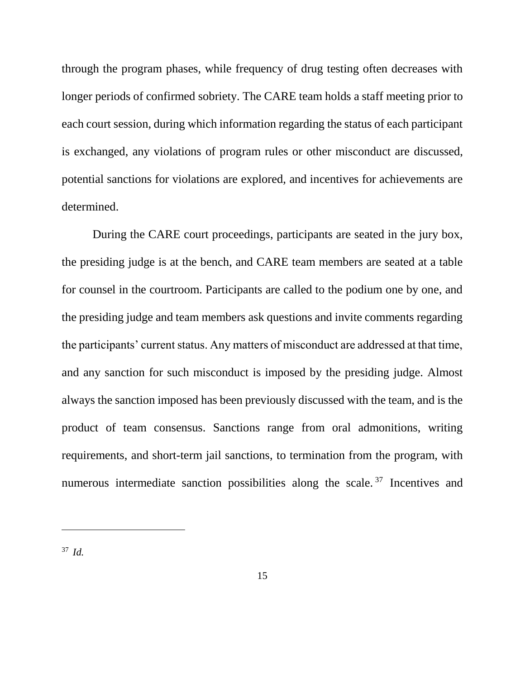through the program phases, while frequency of drug testing often decreases with longer periods of confirmed sobriety. The CARE team holds a staff meeting prior to each court session, during which information regarding the status of each participant is exchanged, any violations of program rules or other misconduct are discussed, potential sanctions for violations are explored, and incentives for achievements are determined.

During the CARE court proceedings, participants are seated in the jury box, the presiding judge is at the bench, and CARE team members are seated at a table for counsel in the courtroom. Participants are called to the podium one by one, and the presiding judge and team members ask questions and invite comments regarding the participants' current status. Any matters of misconduct are addressed at that time, and any sanction for such misconduct is imposed by the presiding judge. Almost always the sanction imposed has been previously discussed with the team, and is the product of team consensus. Sanctions range from oral admonitions, writing requirements, and short-term jail sanctions, to termination from the program, with numerous intermediate sanction possibilities along the scale.<sup>37</sup> Incentives and

<sup>37</sup> *Id.*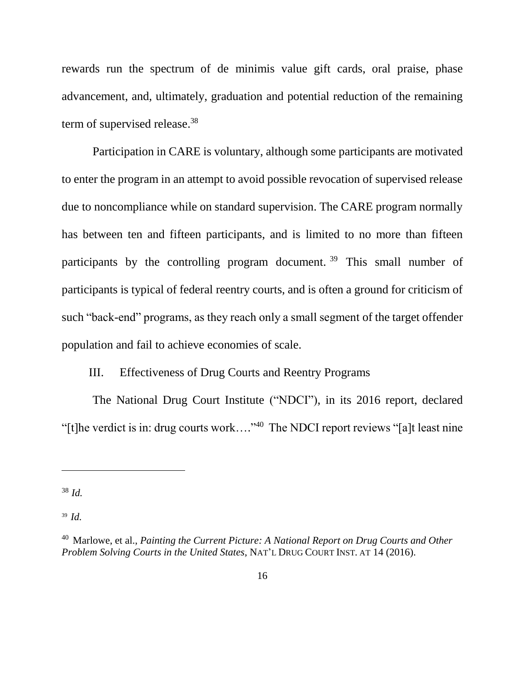rewards run the spectrum of de minimis value gift cards, oral praise, phase advancement, and, ultimately, graduation and potential reduction of the remaining term of supervised release.<sup>38</sup>

Participation in CARE is voluntary, although some participants are motivated to enter the program in an attempt to avoid possible revocation of supervised release due to noncompliance while on standard supervision. The CARE program normally has between ten and fifteen participants, and is limited to no more than fifteen participants by the controlling program document.<sup>39</sup> This small number of participants is typical of federal reentry courts, and is often a ground for criticism of such "back-end" programs, as they reach only a small segment of the target offender population and fail to achieve economies of scale.

### III. Effectiveness of Drug Courts and Reentry Programs

The National Drug Court Institute ("NDCI"), in its 2016 report, declared "[t]he verdict is in: drug courts work…." <sup>40</sup> The NDCI report reviews "[a]t least nine

 $\overline{a}$ 

<sup>39</sup> *Id.*

<sup>38</sup> *Id.*

<sup>40</sup> Marlowe, et al., *Painting the Current Picture: A National Report on Drug Courts and Other Problem Solving Courts in the United States*, NAT'L DRUG COURT INST. AT 14 (2016).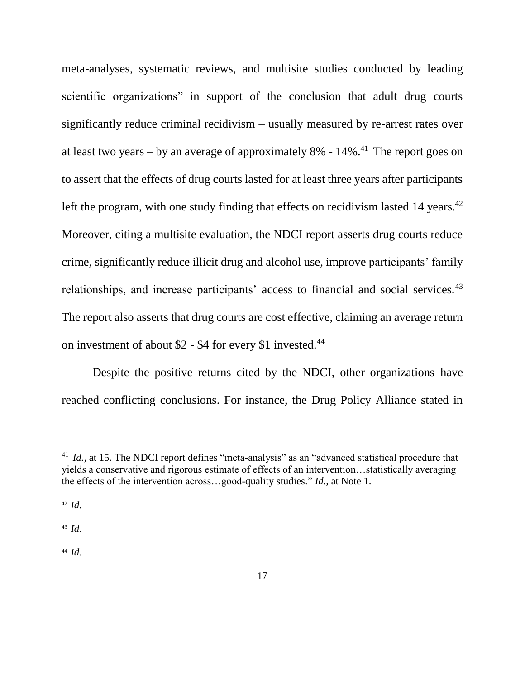meta-analyses, systematic reviews, and multisite studies conducted by leading scientific organizations" in support of the conclusion that adult drug courts significantly reduce criminal recidivism – usually measured by re-arrest rates over at least two years  $-$  by an average of approximately 8% -  $14\%$ <sup>41</sup>. The report goes on to assert that the effects of drug courts lasted for at least three years after participants left the program, with one study finding that effects on recidivism lasted 14 years.<sup>42</sup> Moreover, citing a multisite evaluation, the NDCI report asserts drug courts reduce crime, significantly reduce illicit drug and alcohol use, improve participants' family relationships, and increase participants' access to financial and social services.<sup>43</sup> The report also asserts that drug courts are cost effective, claiming an average return on investment of about \$2 - \$4 for every \$1 invested.<sup>44</sup>

Despite the positive returns cited by the NDCI, other organizations have reached conflicting conclusions. For instance, the Drug Policy Alliance stated in

 $\overline{a}$ 

 $43$  *Id.* 

<sup>44</sup> *Id.*

<sup>&</sup>lt;sup>41</sup> *Id.*, at 15. The NDCI report defines "meta-analysis" as an "advanced statistical procedure that yields a conservative and rigorous estimate of effects of an intervention…statistically averaging the effects of the intervention across…good-quality studies." *Id.,* at Note 1.

<sup>42</sup> *Id.*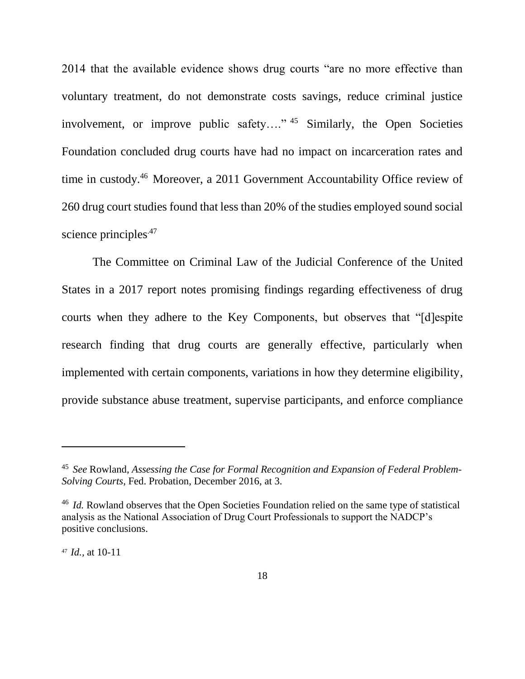2014 that the available evidence shows drug courts "are no more effective than voluntary treatment, do not demonstrate costs savings, reduce criminal justice involvement, or improve public safety…." <sup>45</sup> Similarly, the Open Societies Foundation concluded drug courts have had no impact on incarceration rates and time in custody.<sup>46</sup> Moreover, a 2011 Government Accountability Office review of 260 drug court studies found that less than 20% of the studies employed sound social science principles.<sup>47</sup>

The Committee on Criminal Law of the Judicial Conference of the United States in a 2017 report notes promising findings regarding effectiveness of drug courts when they adhere to the Key Components, but observes that "[d]espite research finding that drug courts are generally effective, particularly when implemented with certain components, variations in how they determine eligibility, provide substance abuse treatment, supervise participants, and enforce compliance

<sup>47</sup> *Id.,* at 10-11

<sup>45</sup> *See* Rowland, *Assessing the Case for Formal Recognition and Expansion of Federal Problem-Solving Courts*, Fed. Probation, December 2016, at 3.

<sup>&</sup>lt;sup>46</sup> *Id.* Rowland observes that the Open Societies Foundation relied on the same type of statistical analysis as the National Association of Drug Court Professionals to support the NADCP's positive conclusions.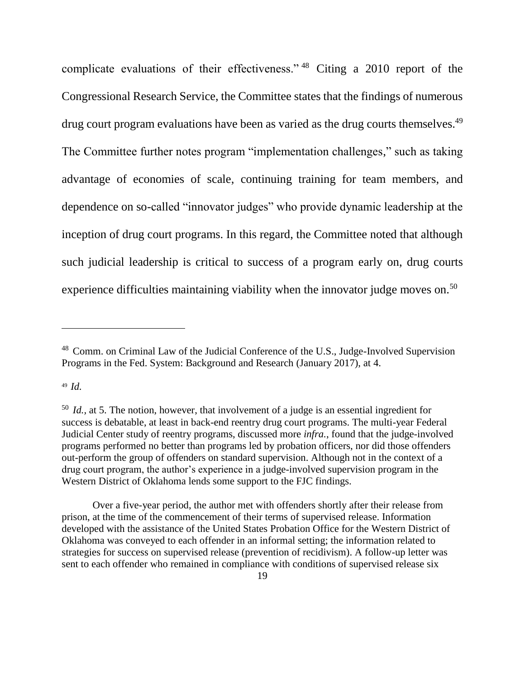complicate evaluations of their effectiveness." <sup>48</sup> Citing a 2010 report of the Congressional Research Service, the Committee states that the findings of numerous drug court program evaluations have been as varied as the drug courts themselves.<sup>49</sup> The Committee further notes program "implementation challenges," such as taking advantage of economies of scale, continuing training for team members, and dependence on so-called "innovator judges" who provide dynamic leadership at the inception of drug court programs. In this regard, the Committee noted that although such judicial leadership is critical to success of a program early on, drug courts experience difficulties maintaining viability when the innovator judge moves on.<sup>50</sup>

<sup>49</sup> *Id.*

<sup>48</sup> Comm. on Criminal Law of the Judicial Conference of the U.S., Judge-Involved Supervision Programs in the Fed. System: Background and Research (January 2017), at 4.

<sup>50</sup> *Id.,* at 5. The notion, however, that involvement of a judge is an essential ingredient for success is debatable, at least in back-end reentry drug court programs. The multi-year Federal Judicial Center study of reentry programs, discussed more *infra.*, found that the judge-involved programs performed no better than programs led by probation officers, nor did those offenders out-perform the group of offenders on standard supervision. Although not in the context of a drug court program, the author's experience in a judge-involved supervision program in the Western District of Oklahoma lends some support to the FJC findings.

Over a five-year period, the author met with offenders shortly after their release from prison, at the time of the commencement of their terms of supervised release. Information developed with the assistance of the United States Probation Office for the Western District of Oklahoma was conveyed to each offender in an informal setting; the information related to strategies for success on supervised release (prevention of recidivism). A follow-up letter was sent to each offender who remained in compliance with conditions of supervised release six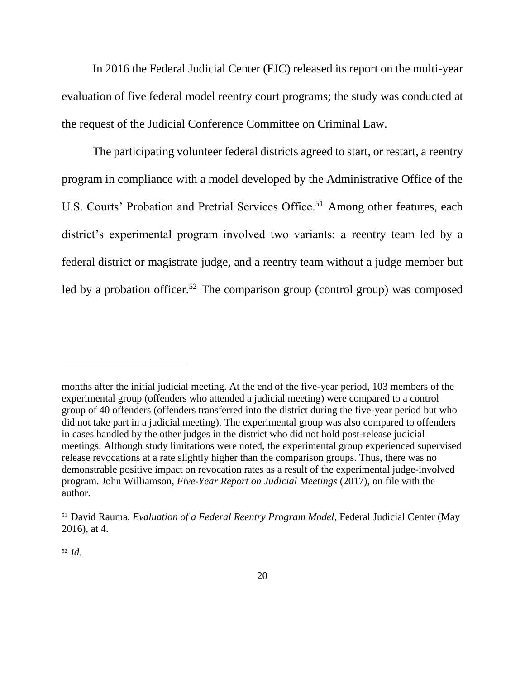In 2016 the Federal Judicial Center (FJC) released its report on the multi-year evaluation of five federal model reentry court programs; the study was conducted at the request of the Judicial Conference Committee on Criminal Law.

The participating volunteer federal districts agreed to start, or restart, a reentry program in compliance with a model developed by the Administrative Office of the U.S. Courts' Probation and Pretrial Services Office.<sup>51</sup> Among other features, each district's experimental program involved two variants: a reentry team led by a federal district or magistrate judge, and a reentry team without a judge member but led by a probation officer.<sup>52</sup> The comparison group (control group) was composed

<sup>52</sup> *Id.*

months after the initial judicial meeting. At the end of the five-year period, 103 members of the experimental group (offenders who attended a judicial meeting) were compared to a control group of 40 offenders (offenders transferred into the district during the five-year period but who did not take part in a judicial meeting). The experimental group was also compared to offenders in cases handled by the other judges in the district who did not hold post-release judicial meetings. Although study limitations were noted, the experimental group experienced supervised release revocations at a rate slightly higher than the comparison groups. Thus, there was no demonstrable positive impact on revocation rates as a result of the experimental judge-involved program. John Williamson, *Five-Year Report on Judicial Meetings* (2017), on file with the author.

<sup>51</sup> David Rauma, *Evaluation of a Federal Reentry Program Model*, Federal Judicial Center (May 2016), at 4.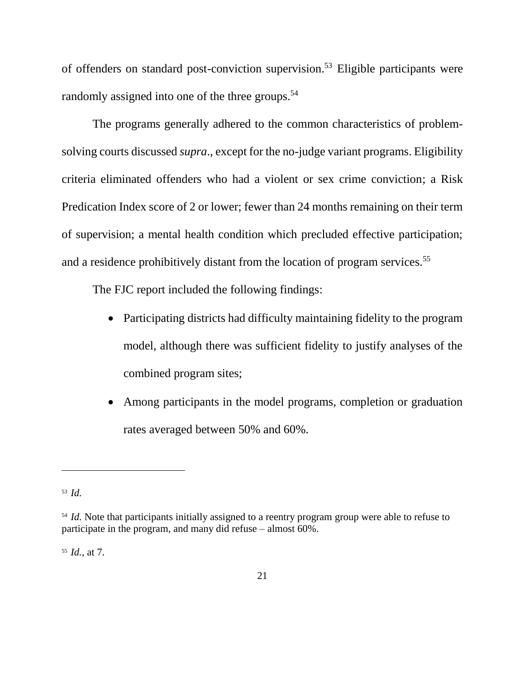of offenders on standard post-conviction supervision.<sup>53</sup> Eligible participants were randomly assigned into one of the three groups.<sup>54</sup>

The programs generally adhered to the common characteristics of problemsolving courts discussed *supra*., except for the no-judge variant programs. Eligibility criteria eliminated offenders who had a violent or sex crime conviction; a Risk Predication Index score of 2 or lower; fewer than 24 months remaining on their term of supervision; a mental health condition which precluded effective participation; and a residence prohibitively distant from the location of program services.<sup>55</sup>

The FJC report included the following findings:

- Participating districts had difficulty maintaining fidelity to the program model, although there was sufficient fidelity to justify analyses of the combined program sites;
- Among participants in the model programs, completion or graduation rates averaged between 50% and 60%.

 $\overline{a}$ 

<sup>55</sup> *Id.*, at 7.

<sup>53</sup> *Id.*

<sup>&</sup>lt;sup>54</sup> *Id.* Note that participants initially assigned to a reentry program group were able to refuse to participate in the program, and many did refuse – almost 60%.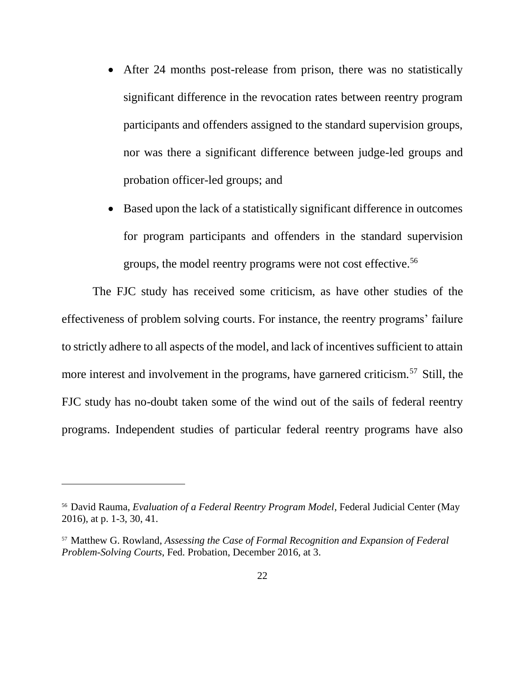- After 24 months post-release from prison, there was no statistically significant difference in the revocation rates between reentry program participants and offenders assigned to the standard supervision groups, nor was there a significant difference between judge-led groups and probation officer-led groups; and
- Based upon the lack of a statistically significant difference in outcomes for program participants and offenders in the standard supervision groups, the model reentry programs were not cost effective.<sup>56</sup>

The FJC study has received some criticism, as have other studies of the effectiveness of problem solving courts. For instance, the reentry programs' failure to strictly adhere to all aspects of the model, and lack of incentives sufficient to attain more interest and involvement in the programs, have garnered criticism.<sup>57</sup> Still, the FJC study has no-doubt taken some of the wind out of the sails of federal reentry programs. Independent studies of particular federal reentry programs have also

<sup>56</sup> David Rauma, *Evaluation of a Federal Reentry Program Model*, Federal Judicial Center (May 2016), at p. 1-3, 30, 41.

<sup>57</sup> Matthew G. Rowland, *Assessing the Case of Formal Recognition and Expansion of Federal Problem-Solving Courts*, Fed. Probation, December 2016, at 3.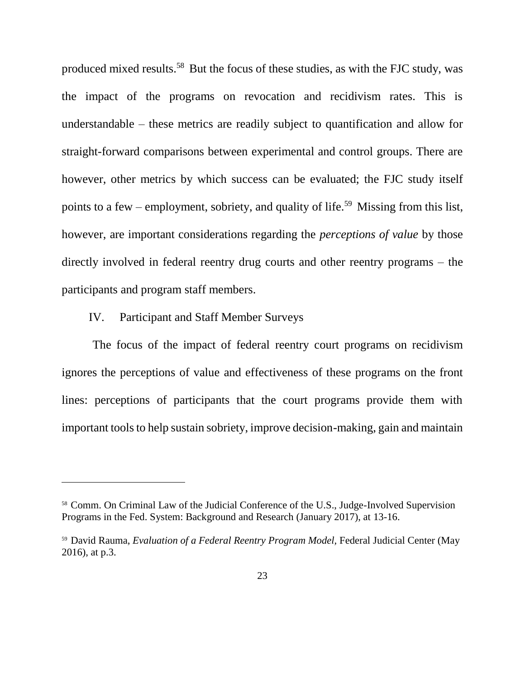produced mixed results.<sup>58</sup> But the focus of these studies, as with the FJC study, was the impact of the programs on revocation and recidivism rates. This is understandable – these metrics are readily subject to quantification and allow for straight-forward comparisons between experimental and control groups. There are however, other metrics by which success can be evaluated; the FJC study itself points to a few – employment, sobriety, and quality of life.<sup>59</sup> Missing from this list, however, are important considerations regarding the *perceptions of value* by those directly involved in federal reentry drug courts and other reentry programs – the participants and program staff members.

### IV. Participant and Staff Member Surveys

 $\overline{a}$ 

The focus of the impact of federal reentry court programs on recidivism ignores the perceptions of value and effectiveness of these programs on the front lines: perceptions of participants that the court programs provide them with important tools to help sustain sobriety, improve decision-making, gain and maintain

<sup>58</sup> Comm. On Criminal Law of the Judicial Conference of the U.S., Judge-Involved Supervision Programs in the Fed. System: Background and Research (January 2017), at 13-16.

<sup>59</sup> David Rauma, *Evaluation of a Federal Reentry Program Model,* Federal Judicial Center (May 2016), at p.3.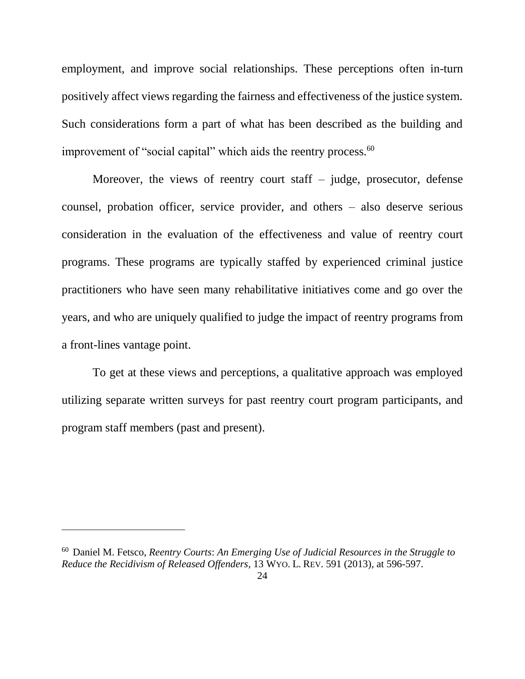employment, and improve social relationships. These perceptions often in-turn positively affect views regarding the fairness and effectiveness of the justice system. Such considerations form a part of what has been described as the building and improvement of "social capital" which aids the reentry process.<sup>60</sup>

Moreover, the views of reentry court staff – judge, prosecutor, defense counsel, probation officer, service provider, and others – also deserve serious consideration in the evaluation of the effectiveness and value of reentry court programs. These programs are typically staffed by experienced criminal justice practitioners who have seen many rehabilitative initiatives come and go over the years, and who are uniquely qualified to judge the impact of reentry programs from a front-lines vantage point.

To get at these views and perceptions, a qualitative approach was employed utilizing separate written surveys for past reentry court program participants, and program staff members (past and present).

<sup>60</sup> Daniel M. Fetsco, *Reentry Courts*: *An Emerging Use of Judicial Resources in the Struggle to Reduce the Recidivism of Released Offenders*, 13 WYO. L. REV. 591 (2013), at 596-597.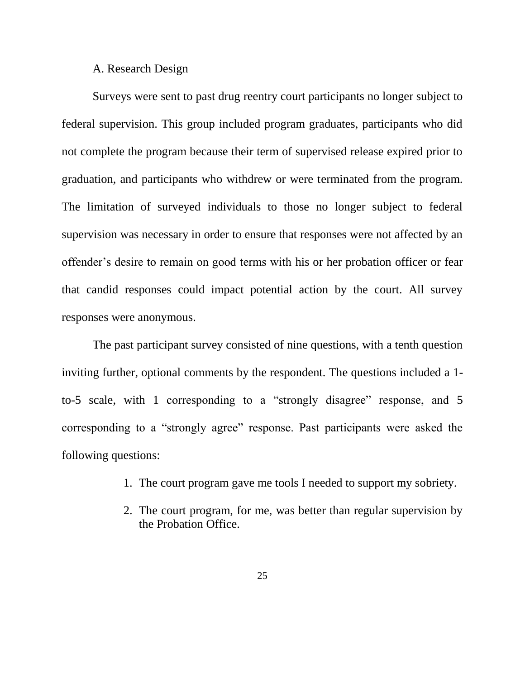#### A. Research Design

Surveys were sent to past drug reentry court participants no longer subject to federal supervision. This group included program graduates, participants who did not complete the program because their term of supervised release expired prior to graduation, and participants who withdrew or were terminated from the program. The limitation of surveyed individuals to those no longer subject to federal supervision was necessary in order to ensure that responses were not affected by an offender's desire to remain on good terms with his or her probation officer or fear that candid responses could impact potential action by the court. All survey responses were anonymous.

The past participant survey consisted of nine questions, with a tenth question inviting further, optional comments by the respondent. The questions included a 1 to-5 scale, with 1 corresponding to a "strongly disagree" response, and 5 corresponding to a "strongly agree" response. Past participants were asked the following questions:

- 1. The court program gave me tools I needed to support my sobriety.
- 2. The court program, for me, was better than regular supervision by the Probation Office.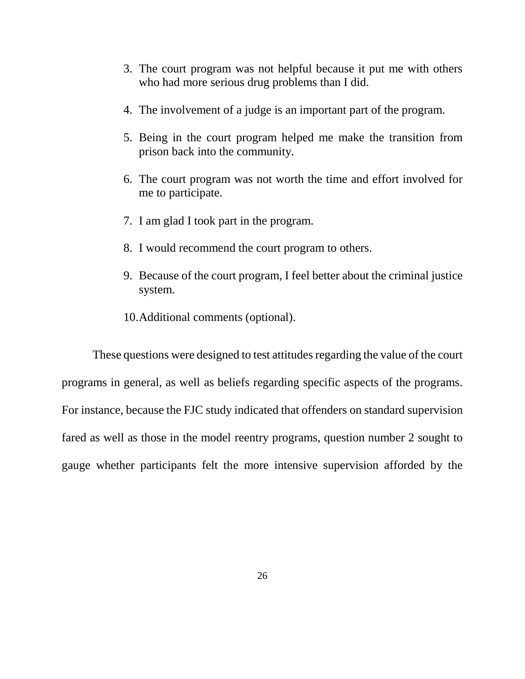- 3. The court program was not helpful because it put me with others who had more serious drug problems than I did.
- 4. The involvement of a judge is an important part of the program.
- 5. Being in the court program helped me make the transition from prison back into the community.
- 6. The court program was not worth the time and effort involved for me to participate.
- 7. I am glad I took part in the program.
- 8. I would recommend the court program to others.
- 9. Because of the court program, I feel better about the criminal justice system.
- 10.Additional comments (optional).

These questions were designed to test attitudes regarding the value of the court programs in general, as well as beliefs regarding specific aspects of the programs. For instance, because the FJC study indicated that offenders on standard supervision fared as well as those in the model reentry programs, question number 2 sought to gauge whether participants felt the more intensive supervision afforded by the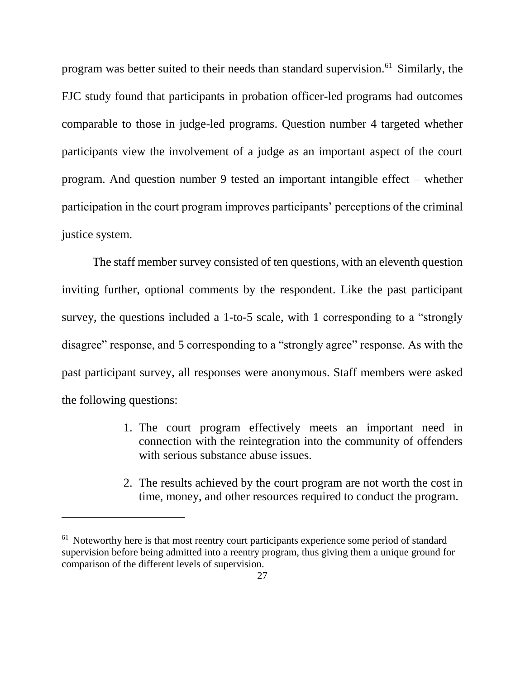program was better suited to their needs than standard supervision.<sup>61</sup> Similarly, the FJC study found that participants in probation officer-led programs had outcomes comparable to those in judge-led programs. Question number 4 targeted whether participants view the involvement of a judge as an important aspect of the court program. And question number 9 tested an important intangible effect – whether participation in the court program improves participants' perceptions of the criminal justice system.

The staff member survey consisted of ten questions, with an eleventh question inviting further, optional comments by the respondent. Like the past participant survey, the questions included a 1-to-5 scale, with 1 corresponding to a "strongly disagree" response, and 5 corresponding to a "strongly agree" response. As with the past participant survey, all responses were anonymous. Staff members were asked the following questions:

- 1. The court program effectively meets an important need in connection with the reintegration into the community of offenders with serious substance abuse issues.
- 2. The results achieved by the court program are not worth the cost in time, money, and other resources required to conduct the program.

 $61$  Noteworthy here is that most reentry court participants experience some period of standard supervision before being admitted into a reentry program, thus giving them a unique ground for comparison of the different levels of supervision.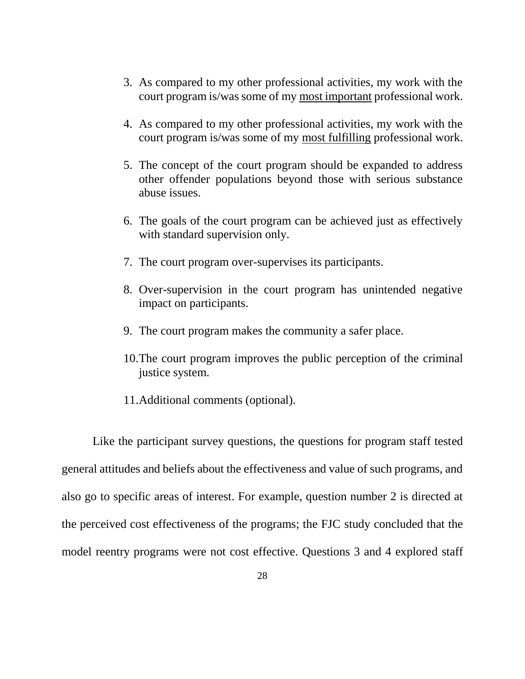- 3. As compared to my other professional activities, my work with the court program is/was some of my most important professional work.
- 4. As compared to my other professional activities, my work with the court program is/was some of my most fulfilling professional work.
- 5. The concept of the court program should be expanded to address other offender populations beyond those with serious substance abuse issues.
- 6. The goals of the court program can be achieved just as effectively with standard supervision only.
- 7. The court program over-supervises its participants.
- 8. Over-supervision in the court program has unintended negative impact on participants.
- 9. The court program makes the community a safer place.
- 10.The court program improves the public perception of the criminal justice system.
- 11.Additional comments (optional).

Like the participant survey questions, the questions for program staff tested general attitudes and beliefs about the effectiveness and value of such programs, and also go to specific areas of interest. For example, question number 2 is directed at the perceived cost effectiveness of the programs; the FJC study concluded that the model reentry programs were not cost effective. Questions 3 and 4 explored staff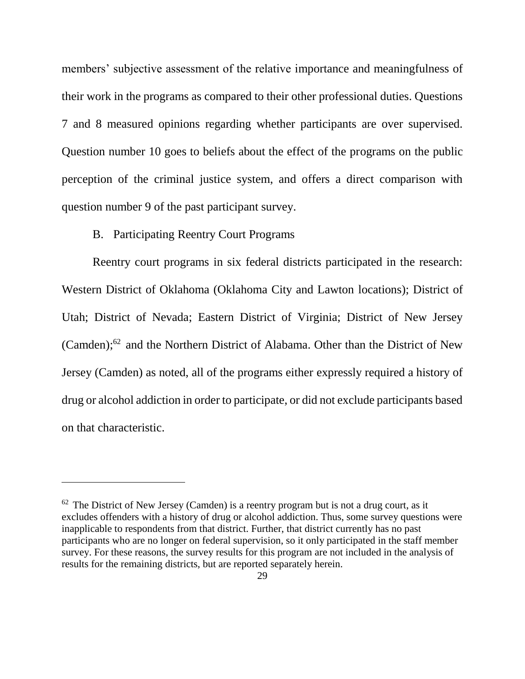members' subjective assessment of the relative importance and meaningfulness of their work in the programs as compared to their other professional duties. Questions 7 and 8 measured opinions regarding whether participants are over supervised. Question number 10 goes to beliefs about the effect of the programs on the public perception of the criminal justice system, and offers a direct comparison with question number 9 of the past participant survey.

### B. Participating Reentry Court Programs

 $\overline{a}$ 

Reentry court programs in six federal districts participated in the research: Western District of Oklahoma (Oklahoma City and Lawton locations); District of Utah; District of Nevada; Eastern District of Virginia; District of New Jersey (Camden); <sup>62</sup> and the Northern District of Alabama. Other than the District of New Jersey (Camden) as noted, all of the programs either expressly required a history of drug or alcohol addiction in order to participate, or did not exclude participants based on that characteristic.

 $62$  The District of New Jersey (Camden) is a reentry program but is not a drug court, as it excludes offenders with a history of drug or alcohol addiction. Thus, some survey questions were inapplicable to respondents from that district. Further, that district currently has no past participants who are no longer on federal supervision, so it only participated in the staff member survey. For these reasons, the survey results for this program are not included in the analysis of results for the remaining districts, but are reported separately herein.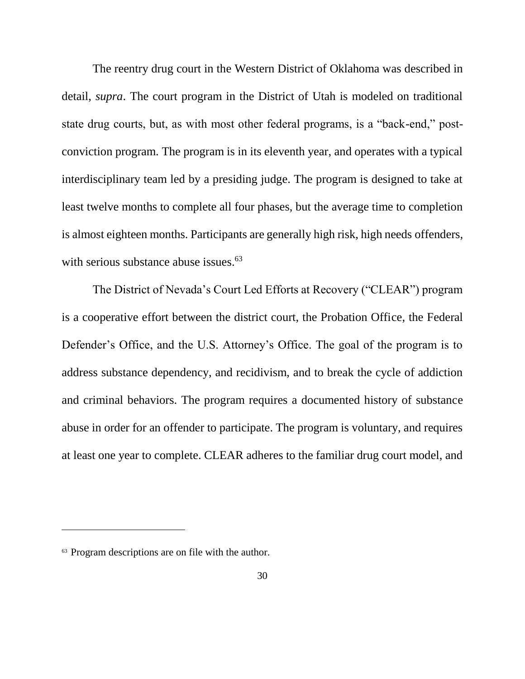The reentry drug court in the Western District of Oklahoma was described in detail, *supra*. The court program in the District of Utah is modeled on traditional state drug courts, but, as with most other federal programs, is a "back-end," postconviction program. The program is in its eleventh year, and operates with a typical interdisciplinary team led by a presiding judge. The program is designed to take at least twelve months to complete all four phases, but the average time to completion is almost eighteen months. Participants are generally high risk, high needs offenders, with serious substance abuse issues.<sup>63</sup>

The District of Nevada's Court Led Efforts at Recovery ("CLEAR") program is a cooperative effort between the district court, the Probation Office, the Federal Defender's Office, and the U.S. Attorney's Office. The goal of the program is to address substance dependency, and recidivism, and to break the cycle of addiction and criminal behaviors. The program requires a documented history of substance abuse in order for an offender to participate. The program is voluntary, and requires at least one year to complete. CLEAR adheres to the familiar drug court model, and

<sup>&</sup>lt;sup>63</sup> Program descriptions are on file with the author.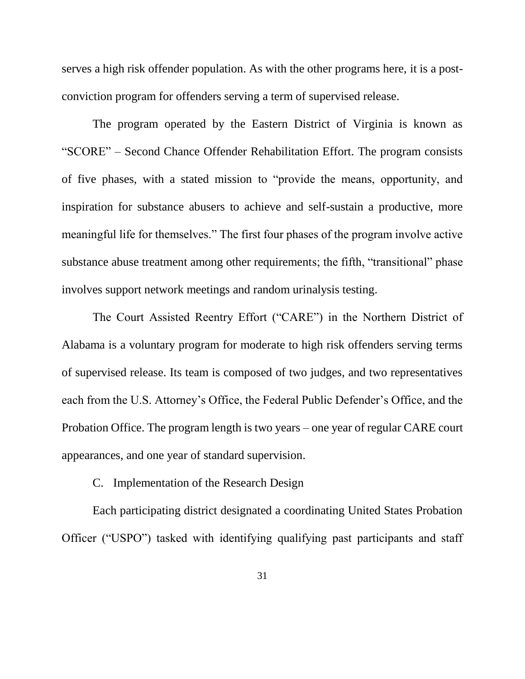serves a high risk offender population. As with the other programs here, it is a postconviction program for offenders serving a term of supervised release.

The program operated by the Eastern District of Virginia is known as "SCORE" – Second Chance Offender Rehabilitation Effort. The program consists of five phases, with a stated mission to "provide the means, opportunity, and inspiration for substance abusers to achieve and self-sustain a productive, more meaningful life for themselves." The first four phases of the program involve active substance abuse treatment among other requirements; the fifth, "transitional" phase involves support network meetings and random urinalysis testing.

The Court Assisted Reentry Effort ("CARE") in the Northern District of Alabama is a voluntary program for moderate to high risk offenders serving terms of supervised release. Its team is composed of two judges, and two representatives each from the U.S. Attorney's Office, the Federal Public Defender's Office, and the Probation Office. The program length is two years – one year of regular CARE court appearances, and one year of standard supervision.

C. Implementation of the Research Design

Each participating district designated a coordinating United States Probation Officer ("USPO") tasked with identifying qualifying past participants and staff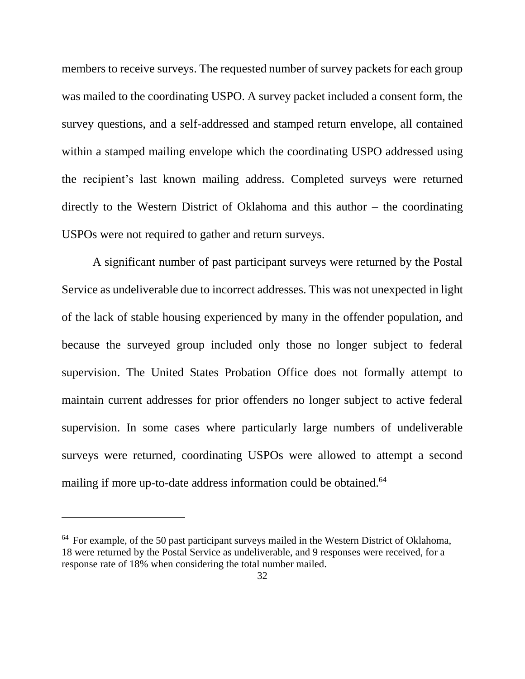members to receive surveys. The requested number of survey packets for each group was mailed to the coordinating USPO. A survey packet included a consent form, the survey questions, and a self-addressed and stamped return envelope, all contained within a stamped mailing envelope which the coordinating USPO addressed using the recipient's last known mailing address. Completed surveys were returned directly to the Western District of Oklahoma and this author – the coordinating USPOs were not required to gather and return surveys.

A significant number of past participant surveys were returned by the Postal Service as undeliverable due to incorrect addresses. This was not unexpected in light of the lack of stable housing experienced by many in the offender population, and because the surveyed group included only those no longer subject to federal supervision. The United States Probation Office does not formally attempt to maintain current addresses for prior offenders no longer subject to active federal supervision. In some cases where particularly large numbers of undeliverable surveys were returned, coordinating USPOs were allowed to attempt a second mailing if more up-to-date address information could be obtained.<sup>64</sup>

 $64$  For example, of the 50 past participant surveys mailed in the Western District of Oklahoma, 18 were returned by the Postal Service as undeliverable, and 9 responses were received, for a response rate of 18% when considering the total number mailed.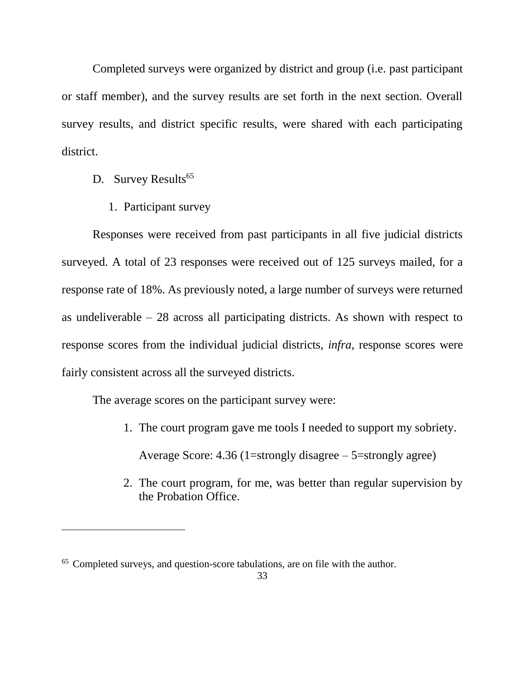Completed surveys were organized by district and group (i.e. past participant or staff member), and the survey results are set forth in the next section. Overall survey results, and district specific results, were shared with each participating district.

D. Survey Results<sup>65</sup>

 $\overline{a}$ 

1. Participant survey

Responses were received from past participants in all five judicial districts surveyed. A total of 23 responses were received out of 125 surveys mailed, for a response rate of 18%. As previously noted, a large number of surveys were returned as undeliverable – 28 across all participating districts. As shown with respect to response scores from the individual judicial districts, *infra*, response scores were fairly consistent across all the surveyed districts.

The average scores on the participant survey were:

- 1. The court program gave me tools I needed to support my sobriety. Average Score:  $4.36$  (1=strongly disagree –  $5$ =strongly agree)
- 2. The court program, for me, was better than regular supervision by the Probation Office.

<sup>65</sup> Completed surveys, and question-score tabulations, are on file with the author.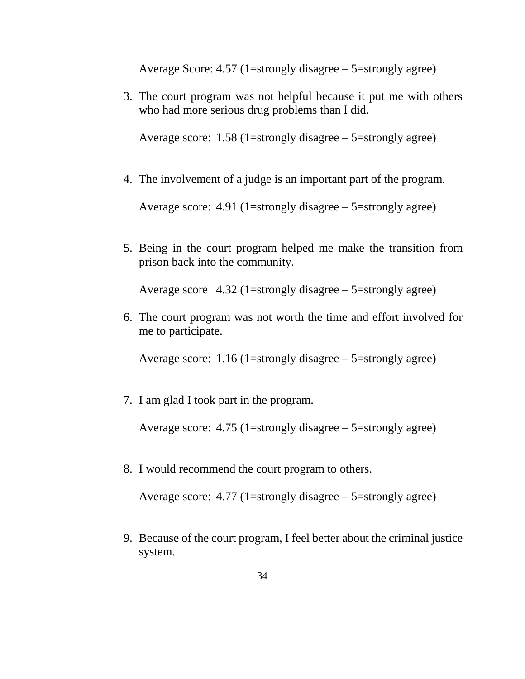Average Score:  $4.57$  (1=strongly disagree  $-5$ =strongly agree)

3. The court program was not helpful because it put me with others who had more serious drug problems than I did.

Average score:  $1.58$  (1=strongly disagree – 5=strongly agree)

4. The involvement of a judge is an important part of the program.

Average score:  $4.91$  (1=strongly disagree – 5=strongly agree)

5. Being in the court program helped me make the transition from prison back into the community.

Average score  $4.32$  (1=strongly disagree – 5=strongly agree)

6. The court program was not worth the time and effort involved for me to participate.

Average score: 1.16 (1=strongly disagree – 5=strongly agree)

7. I am glad I took part in the program.

Average score:  $4.75$  (1=strongly disagree – 5=strongly agree)

8. I would recommend the court program to others.

Average score:  $4.77$  (1=strongly disagree – 5=strongly agree)

9. Because of the court program, I feel better about the criminal justice system.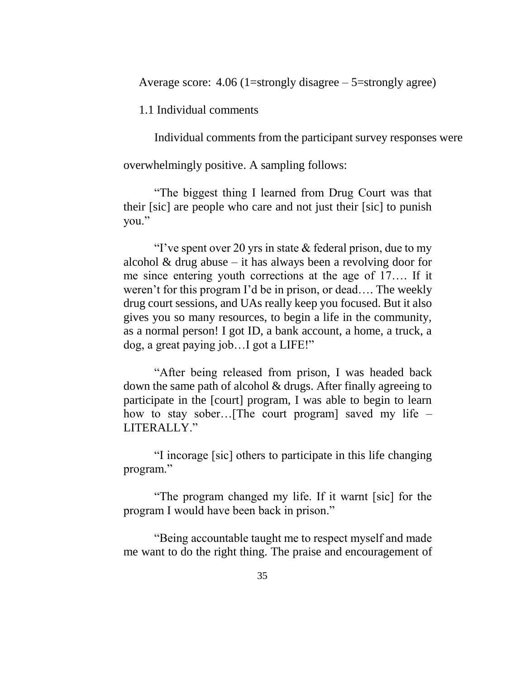Average score:  $4.06$  (1=strongly disagree – 5=strongly agree)

1.1 Individual comments

Individual comments from the participant survey responses were

overwhelmingly positive. A sampling follows:

"The biggest thing I learned from Drug Court was that their [sic] are people who care and not just their [sic] to punish you."

"I've spent over 20 yrs in state  $&$  federal prison, due to my alcohol  $&$  drug abuse – it has always been a revolving door for me since entering youth corrections at the age of 17…. If it weren't for this program I'd be in prison, or dead…. The weekly drug court sessions, and UAs really keep you focused. But it also gives you so many resources, to begin a life in the community, as a normal person! I got ID, a bank account, a home, a truck, a dog, a great paying job…I got a LIFE!"

"After being released from prison, I was headed back down the same path of alcohol & drugs. After finally agreeing to participate in the [court] program, I was able to begin to learn how to stay sober…[The court program] saved my life – LITERALLY."

"I incorage [sic] others to participate in this life changing program."

"The program changed my life. If it warnt [sic] for the program I would have been back in prison."

"Being accountable taught me to respect myself and made me want to do the right thing. The praise and encouragement of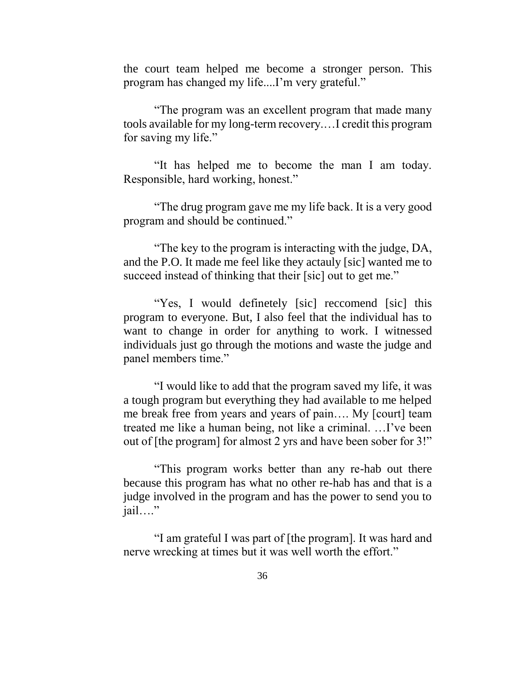the court team helped me become a stronger person. This program has changed my life....I'm very grateful."

"The program was an excellent program that made many tools available for my long-term recovery.…I credit this program for saving my life."

"It has helped me to become the man I am today. Responsible, hard working, honest."

"The drug program gave me my life back. It is a very good program and should be continued."

"The key to the program is interacting with the judge, DA, and the P.O. It made me feel like they actauly [sic] wanted me to succeed instead of thinking that their [sic] out to get me."

"Yes, I would definetely [sic] reccomend [sic] this program to everyone. But, I also feel that the individual has to want to change in order for anything to work. I witnessed individuals just go through the motions and waste the judge and panel members time."

"I would like to add that the program saved my life, it was a tough program but everything they had available to me helped me break free from years and years of pain…. My [court] team treated me like a human being, not like a criminal. …I've been out of [the program] for almost 2 yrs and have been sober for 3!"

"This program works better than any re-hab out there because this program has what no other re-hab has and that is a judge involved in the program and has the power to send you to jail…."

"I am grateful I was part of [the program]. It was hard and nerve wrecking at times but it was well worth the effort."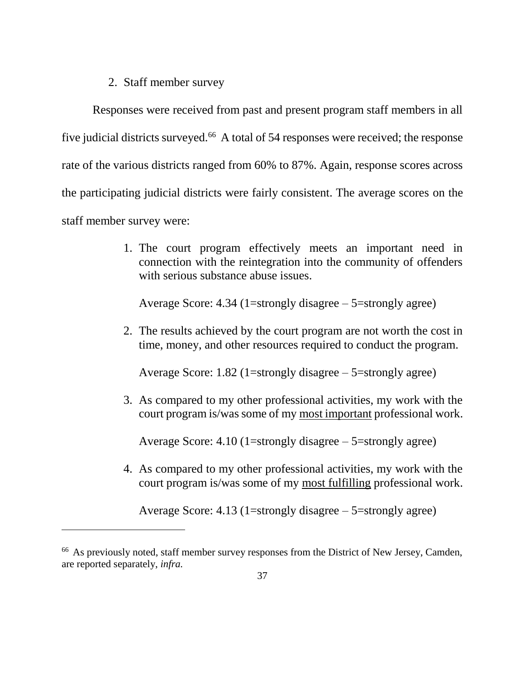### 2. Staff member survey

 $\overline{a}$ 

Responses were received from past and present program staff members in all five judicial districts surveyed.<sup>66</sup> A total of 54 responses were received; the response rate of the various districts ranged from 60% to 87%. Again, response scores across the participating judicial districts were fairly consistent. The average scores on the staff member survey were:

> 1. The court program effectively meets an important need in connection with the reintegration into the community of offenders with serious substance abuse issues.

Average Score:  $4.34$  (1=strongly disagree  $-$  5=strongly agree)

2. The results achieved by the court program are not worth the cost in time, money, and other resources required to conduct the program.

Average Score: 1.82 (1=strongly disagree  $-$  5=strongly agree)

3. As compared to my other professional activities, my work with the court program is/was some of my most important professional work.

Average Score: 4.10 (1=strongly disagree – 5=strongly agree)

4. As compared to my other professional activities, my work with the court program is/was some of my most fulfilling professional work.

Average Score:  $4.13$  (1=strongly disagree – 5=strongly agree)

<sup>&</sup>lt;sup>66</sup> As previously noted, staff member survey responses from the District of New Jersey, Camden, are reported separately, *infra.*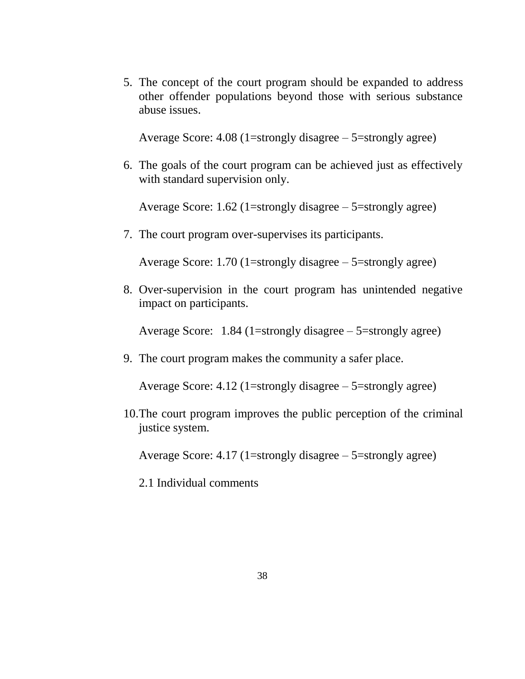5. The concept of the court program should be expanded to address other offender populations beyond those with serious substance abuse issues.

Average Score:  $4.08$  (1=strongly disagree –  $5$ =strongly agree)

6. The goals of the court program can be achieved just as effectively with standard supervision only.

Average Score: 1.62 (1=strongly disagree  $-$  5=strongly agree)

7. The court program over-supervises its participants.

Average Score: 1.70 (1=strongly disagree – 5=strongly agree)

8. Over-supervision in the court program has unintended negative impact on participants.

Average Score: 1.84 (1=strongly disagree – 5=strongly agree)

9. The court program makes the community a safer place.

Average Score:  $4.12$  (1=strongly disagree – 5=strongly agree)

10.The court program improves the public perception of the criminal justice system.

Average Score:  $4.17$  (1=strongly disagree  $-5$ =strongly agree)

2.1 Individual comments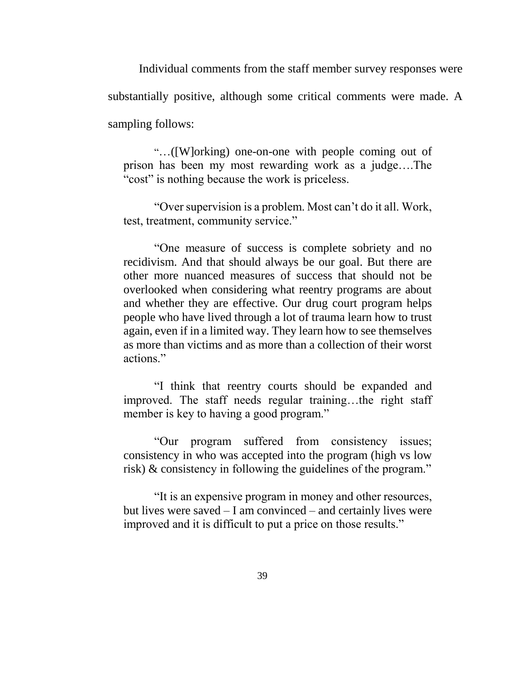Individual comments from the staff member survey responses were substantially positive, although some critical comments were made. A sampling follows:

"…([W]orking) one-on-one with people coming out of prison has been my most rewarding work as a judge….The "cost" is nothing because the work is priceless.

"Over supervision is a problem. Most can't do it all. Work, test, treatment, community service."

"One measure of success is complete sobriety and no recidivism. And that should always be our goal. But there are other more nuanced measures of success that should not be overlooked when considering what reentry programs are about and whether they are effective. Our drug court program helps people who have lived through a lot of trauma learn how to trust again, even if in a limited way. They learn how to see themselves as more than victims and as more than a collection of their worst actions."

"I think that reentry courts should be expanded and improved. The staff needs regular training…the right staff member is key to having a good program."

"Our program suffered from consistency issues; consistency in who was accepted into the program (high vs low risk) & consistency in following the guidelines of the program."

"It is an expensive program in money and other resources, but lives were saved – I am convinced – and certainly lives were improved and it is difficult to put a price on those results."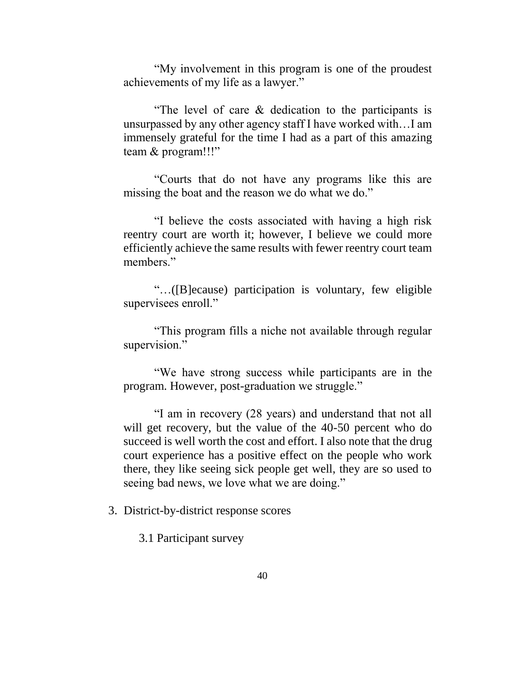"My involvement in this program is one of the proudest achievements of my life as a lawyer."

"The level of care & dedication to the participants is unsurpassed by any other agency staff I have worked with…I am immensely grateful for the time I had as a part of this amazing team & program!!!"

"Courts that do not have any programs like this are missing the boat and the reason we do what we do."

"I believe the costs associated with having a high risk reentry court are worth it; however, I believe we could more efficiently achieve the same results with fewer reentry court team members."

"…([B]ecause) participation is voluntary, few eligible supervisees enroll."

"This program fills a niche not available through regular supervision."

"We have strong success while participants are in the program. However, post-graduation we struggle."

"I am in recovery (28 years) and understand that not all will get recovery, but the value of the 40-50 percent who do succeed is well worth the cost and effort. I also note that the drug court experience has a positive effect on the people who work there, they like seeing sick people get well, they are so used to seeing bad news, we love what we are doing."

3. District-by-district response scores

3.1 Participant survey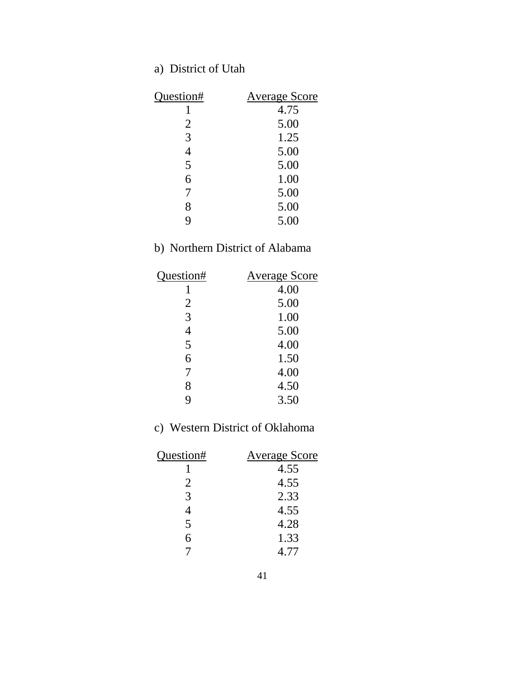## a) District of Utah

| Question# | <b>Average Score</b> |
|-----------|----------------------|
|           | 4.75                 |
| 2         | 5.00                 |
| 3         | 1.25                 |
| 4         | 5.00                 |
| 5         | 5.00                 |
| 6         | 1.00                 |
| 7         | 5.00                 |
| 8         | 5.00                 |
| q         | 5.00                 |

### b) Northern District of Alabama

| Question# | <b>Average Score</b> |
|-----------|----------------------|
|           | 4.00                 |
| 2         | 5.00                 |
| 3         | 1.00                 |
| 4         | 5.00                 |
| 5         | 4.00                 |
| 6         | 1.50                 |
| 7         | 4.00                 |
| 8         | 4.50                 |
| q         | 3.50                 |

### c) Western District of Oklahoma

| Question# | <b>Average Score</b> |
|-----------|----------------------|
|           | 4.55                 |
| 2         | 4.55                 |
| 3         | 2.33                 |
| 4         | 4.55                 |
| 5         | 4.28                 |
| 6         | 1.33                 |
|           | 4.77                 |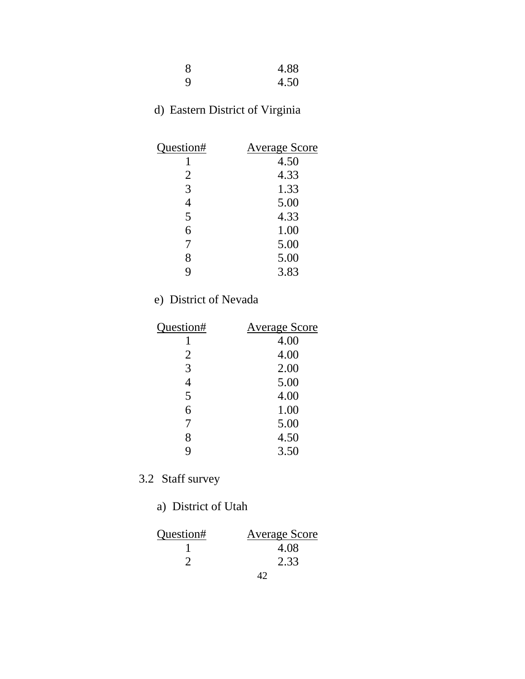| 4.88 |
|------|
| 4.50 |

## d) Eastern District of Virginia

| Question# | <b>Average Score</b> |
|-----------|----------------------|
|           | 4.50                 |
| 2         | 4.33                 |
| 3         | 1.33                 |
|           | 5.00                 |
| 5         | 4.33                 |
| 6         | 1.00                 |
| 7         | 5.00                 |
| 8         | 5.00                 |
| g         | 3.83                 |

## e) District of Nevada

| Question# | <b>Average Score</b> |
|-----------|----------------------|
|           | 4.00                 |
| 2         | 4.00                 |
| 3         | 2.00                 |
| 4         | 5.00                 |
| 5         | 4.00                 |
| 6         | 1.00                 |
| 7         | 5.00                 |
| 8         | 4.50                 |
| 9         | 3.50                 |
|           |                      |

## 3.2 Staff survey

### a) District of Utah

| Question# | <b>Average Score</b> |
|-----------|----------------------|
|           | 4.08                 |
|           | 2.33                 |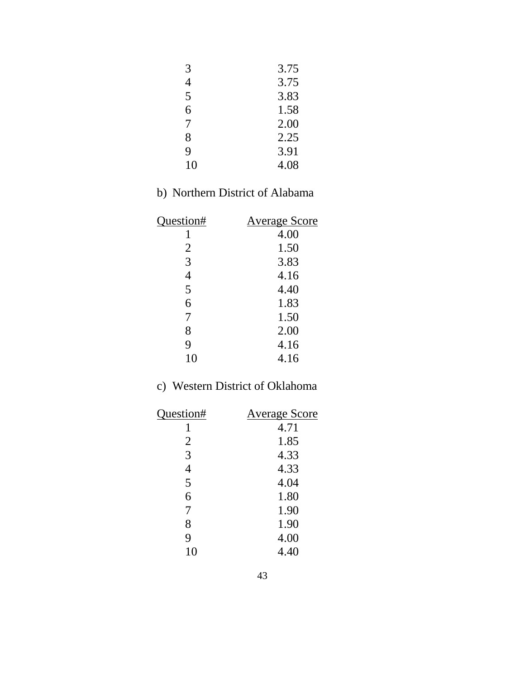| 3.75 |
|------|
| 3.75 |
| 3.83 |
| 1.58 |
| 2.00 |
| 2.25 |
| 3.91 |
| 4.08 |
|      |

### b) Northern District of Alabama

| <b>Average Score</b> |
|----------------------|
| 4.00                 |
| 1.50                 |
| 3.83                 |
| 4.16                 |
| 4.40                 |
| 1.83                 |
| 1.50                 |
| 2.00                 |
| 4.16                 |
| 4.16                 |
|                      |

### c) Western District of Oklahoma

| Question#      | <b>Average Score</b> |
|----------------|----------------------|
|                | 4.71                 |
| 2              | 1.85                 |
| 3              | 4.33                 |
| $\overline{4}$ | 4.33                 |
| 5              | 4.04                 |
| 6              | 1.80                 |
| 7              | 1.90                 |
| 8              | 1.90                 |
| 9              | 4.00                 |
| 10             | 4.40                 |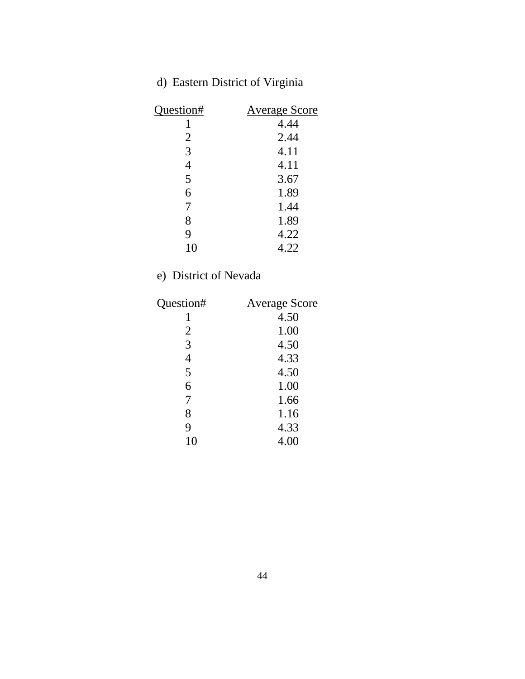## d) Eastern District of Virginia

| Question# | <b>Average Score</b> |
|-----------|----------------------|
|           | 4.44                 |
| 2         | 2.44                 |
| 3         | 4.11                 |
|           | 4.11                 |
| 5         | 3.67                 |
| 6         | 1.89                 |
| 7         | 1.44                 |
| 8         | 1.89                 |
| 9         | 4.22                 |
| 10        | 4.22                 |

## e) District of Nevada

| Question#      | <b>Average Score</b> |
|----------------|----------------------|
|                | 4.50                 |
| 2              | 1.00                 |
| 3              | 4.50                 |
| $\overline{4}$ | 4.33                 |
| 5              | 4.50                 |
| 6              | 1.00                 |
| 7              | 1.66                 |
| 8              | 1.16                 |
| 9              | 4.33                 |
| 10             | 4.00                 |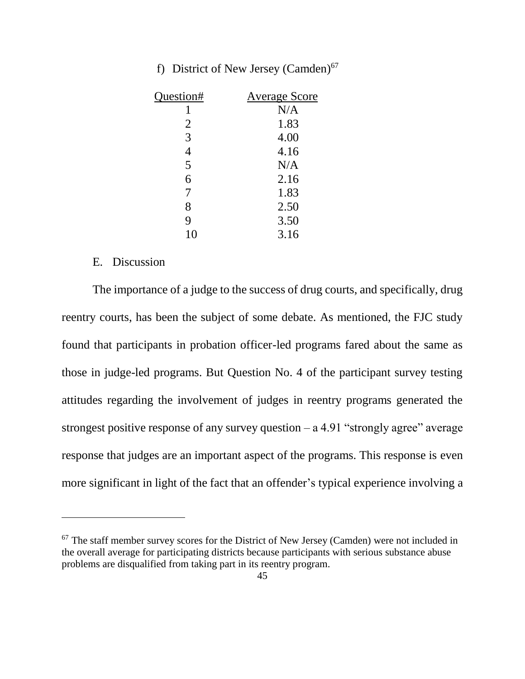|  |  | f) District of New Jersey (Camden) <sup>67</sup> |  |
|--|--|--------------------------------------------------|--|
|  |  |                                                  |  |

| Question# | <b>Average Score</b> |
|-----------|----------------------|
|           | N/A                  |
| 2         | 1.83                 |
| 3         | 4.00                 |
| 4         | 4.16                 |
| 5         | N/A                  |
| 6         | 2.16                 |
| 7         | 1.83                 |
| 8         | 2.50                 |
| 9         | 3.50                 |
| 10        | 3.16                 |

#### E. Discussion

 $\overline{a}$ 

The importance of a judge to the success of drug courts, and specifically, drug reentry courts, has been the subject of some debate. As mentioned, the FJC study found that participants in probation officer-led programs fared about the same as those in judge-led programs. But Question No. 4 of the participant survey testing attitudes regarding the involvement of judges in reentry programs generated the strongest positive response of any survey question  $- a 4.91$  "strongly agree" average response that judges are an important aspect of the programs. This response is even more significant in light of the fact that an offender's typical experience involving a

 $67$  The staff member survey scores for the District of New Jersey (Camden) were not included in the overall average for participating districts because participants with serious substance abuse problems are disqualified from taking part in its reentry program.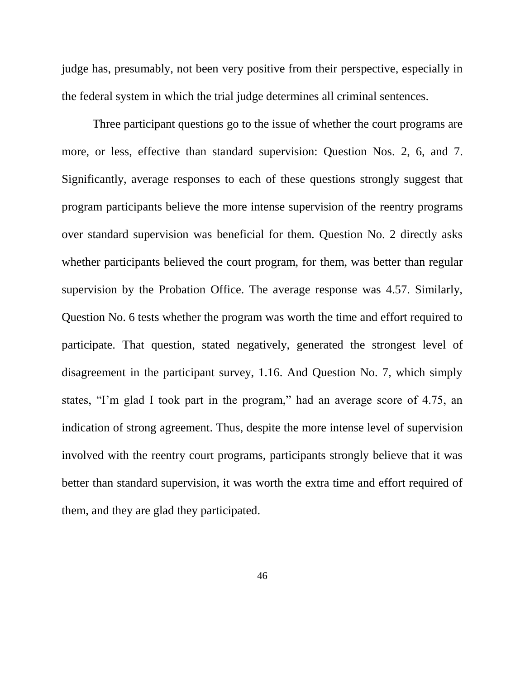judge has, presumably, not been very positive from their perspective, especially in the federal system in which the trial judge determines all criminal sentences.

Three participant questions go to the issue of whether the court programs are more, or less, effective than standard supervision: Question Nos. 2, 6, and 7. Significantly, average responses to each of these questions strongly suggest that program participants believe the more intense supervision of the reentry programs over standard supervision was beneficial for them. Question No. 2 directly asks whether participants believed the court program, for them, was better than regular supervision by the Probation Office. The average response was 4.57. Similarly, Question No. 6 tests whether the program was worth the time and effort required to participate. That question, stated negatively, generated the strongest level of disagreement in the participant survey, 1.16. And Question No. 7, which simply states, "I'm glad I took part in the program," had an average score of 4.75, an indication of strong agreement. Thus, despite the more intense level of supervision involved with the reentry court programs, participants strongly believe that it was better than standard supervision, it was worth the extra time and effort required of them, and they are glad they participated.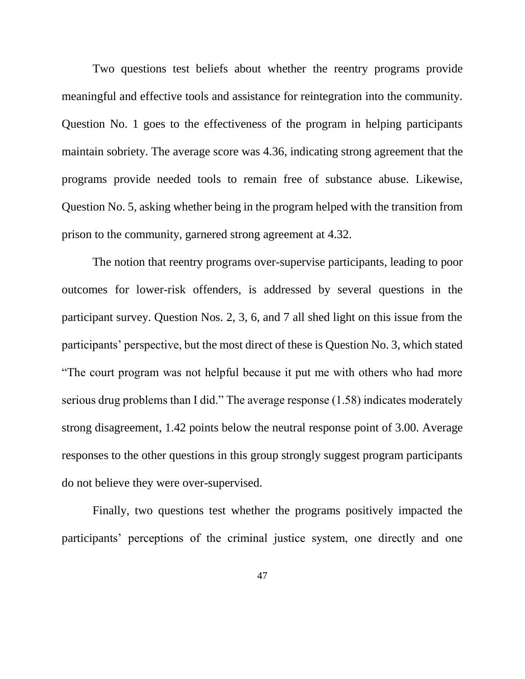Two questions test beliefs about whether the reentry programs provide meaningful and effective tools and assistance for reintegration into the community. Question No. 1 goes to the effectiveness of the program in helping participants maintain sobriety. The average score was 4.36, indicating strong agreement that the programs provide needed tools to remain free of substance abuse. Likewise, Question No. 5, asking whether being in the program helped with the transition from prison to the community, garnered strong agreement at 4.32.

The notion that reentry programs over-supervise participants, leading to poor outcomes for lower-risk offenders, is addressed by several questions in the participant survey. Question Nos. 2, 3, 6, and 7 all shed light on this issue from the participants' perspective, but the most direct of these is Question No. 3, which stated "The court program was not helpful because it put me with others who had more serious drug problems than I did." The average response (1.58) indicates moderately strong disagreement, 1.42 points below the neutral response point of 3.00. Average responses to the other questions in this group strongly suggest program participants do not believe they were over-supervised.

Finally, two questions test whether the programs positively impacted the participants' perceptions of the criminal justice system, one directly and one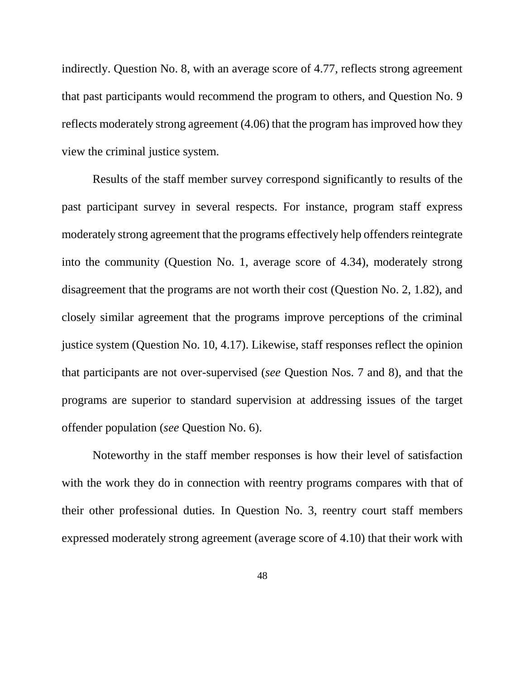indirectly. Question No. 8, with an average score of 4.77, reflects strong agreement that past participants would recommend the program to others, and Question No. 9 reflects moderately strong agreement (4.06) that the program has improved how they view the criminal justice system.

Results of the staff member survey correspond significantly to results of the past participant survey in several respects. For instance, program staff express moderately strong agreement that the programs effectively help offenders reintegrate into the community (Question No. 1, average score of 4.34), moderately strong disagreement that the programs are not worth their cost (Question No. 2, 1.82), and closely similar agreement that the programs improve perceptions of the criminal justice system (Question No. 10, 4.17). Likewise, staff responses reflect the opinion that participants are not over-supervised (*see* Question Nos. 7 and 8), and that the programs are superior to standard supervision at addressing issues of the target offender population (*see* Question No. 6).

Noteworthy in the staff member responses is how their level of satisfaction with the work they do in connection with reentry programs compares with that of their other professional duties. In Question No. 3, reentry court staff members expressed moderately strong agreement (average score of 4.10) that their work with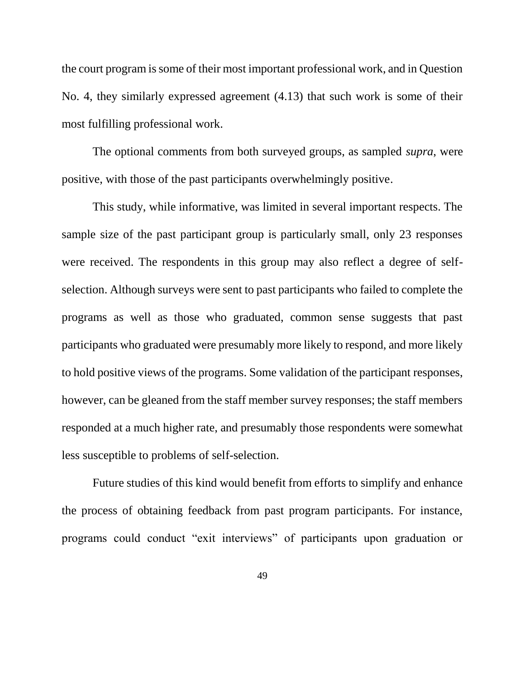the court program is some of their most important professional work, and in Question No. 4, they similarly expressed agreement (4.13) that such work is some of their most fulfilling professional work.

The optional comments from both surveyed groups, as sampled *supra*, were positive, with those of the past participants overwhelmingly positive.

This study, while informative, was limited in several important respects. The sample size of the past participant group is particularly small, only 23 responses were received. The respondents in this group may also reflect a degree of selfselection. Although surveys were sent to past participants who failed to complete the programs as well as those who graduated, common sense suggests that past participants who graduated were presumably more likely to respond, and more likely to hold positive views of the programs. Some validation of the participant responses, however, can be gleaned from the staff member survey responses; the staff members responded at a much higher rate, and presumably those respondents were somewhat less susceptible to problems of self-selection.

Future studies of this kind would benefit from efforts to simplify and enhance the process of obtaining feedback from past program participants. For instance, programs could conduct "exit interviews" of participants upon graduation or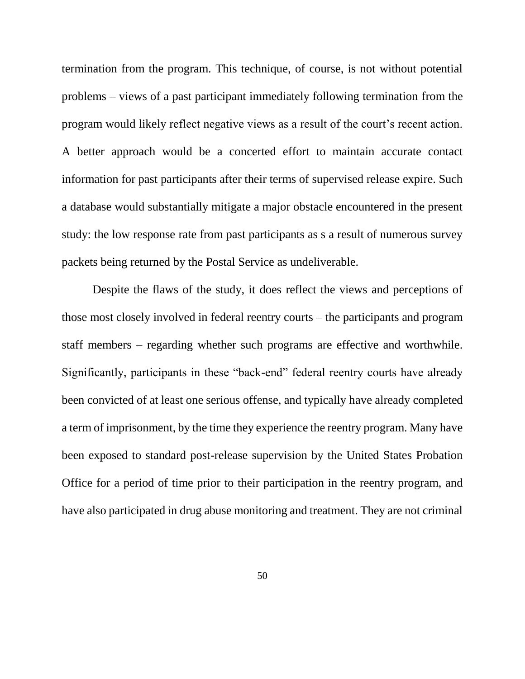termination from the program. This technique, of course, is not without potential problems – views of a past participant immediately following termination from the program would likely reflect negative views as a result of the court's recent action. A better approach would be a concerted effort to maintain accurate contact information for past participants after their terms of supervised release expire. Such a database would substantially mitigate a major obstacle encountered in the present study: the low response rate from past participants as s a result of numerous survey packets being returned by the Postal Service as undeliverable.

Despite the flaws of the study, it does reflect the views and perceptions of those most closely involved in federal reentry courts – the participants and program staff members – regarding whether such programs are effective and worthwhile. Significantly, participants in these "back-end" federal reentry courts have already been convicted of at least one serious offense, and typically have already completed a term of imprisonment, by the time they experience the reentry program. Many have been exposed to standard post-release supervision by the United States Probation Office for a period of time prior to their participation in the reentry program, and have also participated in drug abuse monitoring and treatment. They are not criminal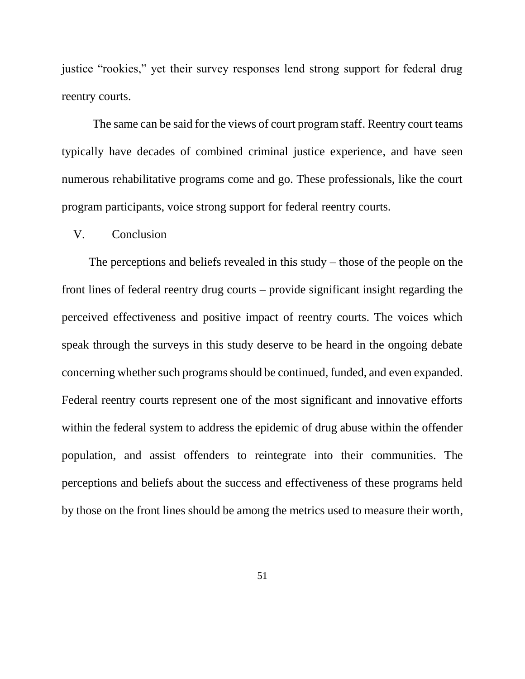justice "rookies," yet their survey responses lend strong support for federal drug reentry courts.

The same can be said for the views of court program staff. Reentry court teams typically have decades of combined criminal justice experience, and have seen numerous rehabilitative programs come and go. These professionals, like the court program participants, voice strong support for federal reentry courts.

#### V. Conclusion

The perceptions and beliefs revealed in this study – those of the people on the front lines of federal reentry drug courts – provide significant insight regarding the perceived effectiveness and positive impact of reentry courts. The voices which speak through the surveys in this study deserve to be heard in the ongoing debate concerning whether such programs should be continued, funded, and even expanded. Federal reentry courts represent one of the most significant and innovative efforts within the federal system to address the epidemic of drug abuse within the offender population, and assist offenders to reintegrate into their communities. The perceptions and beliefs about the success and effectiveness of these programs held by those on the front lines should be among the metrics used to measure their worth,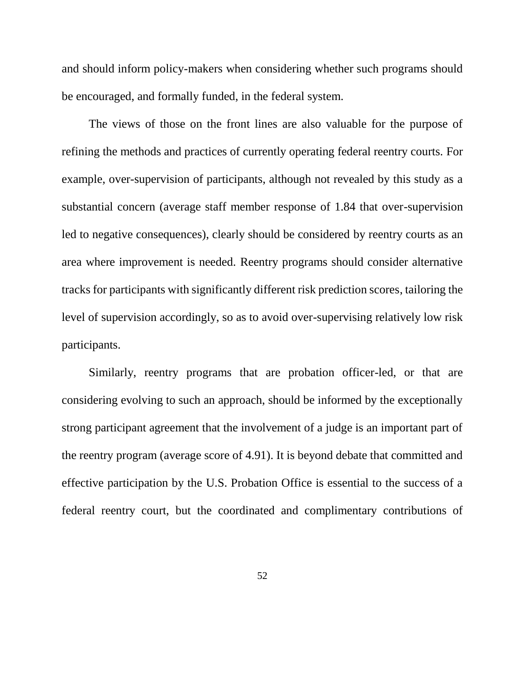and should inform policy-makers when considering whether such programs should be encouraged, and formally funded, in the federal system.

The views of those on the front lines are also valuable for the purpose of refining the methods and practices of currently operating federal reentry courts. For example, over-supervision of participants, although not revealed by this study as a substantial concern (average staff member response of 1.84 that over-supervision led to negative consequences), clearly should be considered by reentry courts as an area where improvement is needed. Reentry programs should consider alternative tracks for participants with significantly different risk prediction scores, tailoring the level of supervision accordingly, so as to avoid over-supervising relatively low risk participants.

Similarly, reentry programs that are probation officer-led, or that are considering evolving to such an approach, should be informed by the exceptionally strong participant agreement that the involvement of a judge is an important part of the reentry program (average score of 4.91). It is beyond debate that committed and effective participation by the U.S. Probation Office is essential to the success of a federal reentry court, but the coordinated and complimentary contributions of